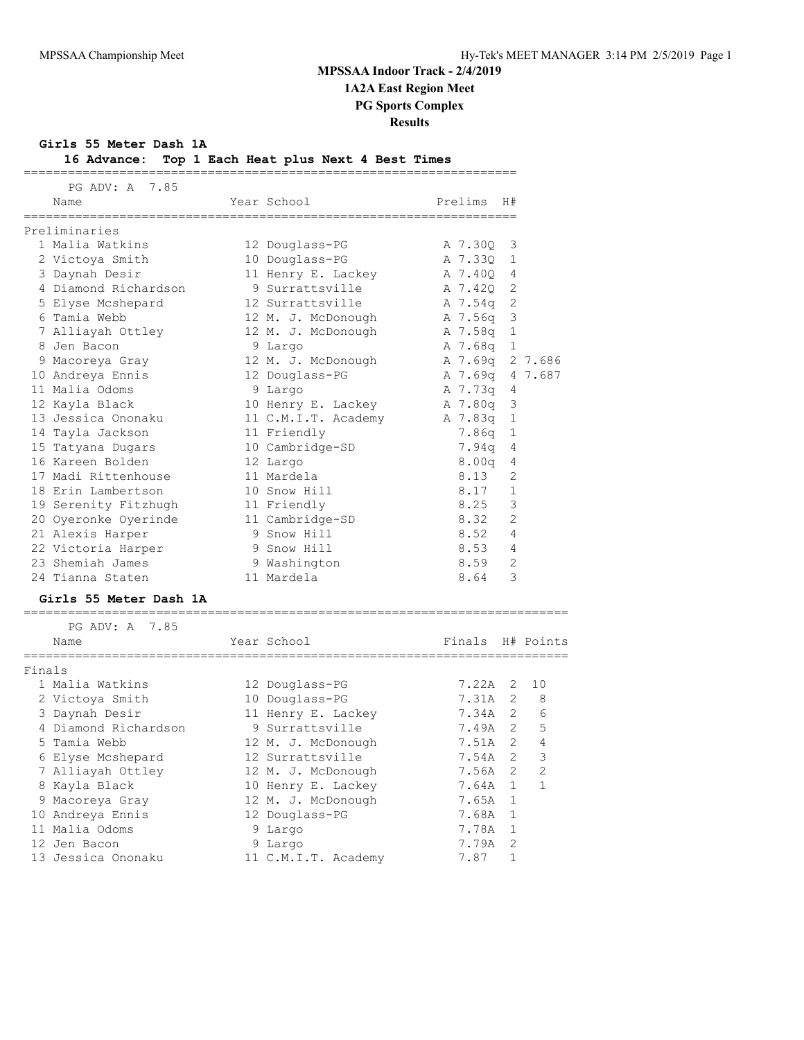**Girls 55 Meter Dash 1A**

| 16 Advance: Top 1 Each Heat plus Next 4 Best Times |  |  |  |  |  |  |  |  |  |
|----------------------------------------------------|--|--|--|--|--|--|--|--|--|
|----------------------------------------------------|--|--|--|--|--|--|--|--|--|

| PG ADV: A 7.85       |                     |         |                        |         |
|----------------------|---------------------|---------|------------------------|---------|
| Name                 | Year School         | Prelims | H#                     |         |
| Preliminaries        |                     |         |                        |         |
| 1 Malia Watkins      | 12 Douglass-PG      |         | A 7.30Q 3              |         |
| 2 Victoya Smith      | 10 Douglass-PG      | A 7.330 | $\mathbf{1}$           |         |
| 3 Daynah Desir       | 11 Henry E. Lackey  | A 7.40Q | 4                      |         |
| 4 Diamond Richardson | 9 Surrattsville     | A 7.420 | 2                      |         |
| 5 Elyse Mcshepard    | 12 Surrattsville    | A 7.54g | 2                      |         |
| 6 Tamia Webb         | 12 M. J. McDonough  | A 7.56g | $\mathcal{E}$          |         |
| 7 Alliayah Ottley    | 12 M. J. McDonough  | A 7.58g | 1                      |         |
| 8 Jen Bacon          | 9 Largo             | A 7.68a | 1                      |         |
| 9 Macoreya Gray      | 12 M. J. McDonough  | A 7.69q |                        | 2 7.686 |
| 10 Andreya Ennis     | 12 Douglass-PG      | A 7.69q |                        | 4 7.687 |
| 11 Malia Odoms       | 9 Largo             | A 7.73q | 4                      |         |
| 12 Kayla Black       | 10 Henry E. Lackey  | A 7.80q | 3                      |         |
| 13 Jessica Ononaku   | 11 C.M.I.T. Academy | A 7.83g | $\mathbf{1}$           |         |
| 14 Tayla Jackson     | 11 Friendly         |         | 7.86a<br>1             |         |
| 15 Tatyana Dugars    | 10 Cambridge-SD     |         | 7.94a<br>4             |         |
| 16 Kareen Bolden     | 12 Largo            |         | 8.00 <sub>q</sub><br>4 |         |
| 17 Madi Rittenhouse  | 11 Mardela          |         | 8.13<br>2              |         |
| 18 Erin Lambertson   | 10 Snow Hill        |         | 8.17<br>$\mathbf{1}$   |         |
| 19 Serenity Fitzhugh | 11 Friendly         |         | 3<br>8.25              |         |
| 20 Oyeronke Oyerinde | 11 Cambridge-SD     |         | $\overline{2}$<br>8.32 |         |
| 21 Alexis Harper     | 9 Snow Hill         |         | 8.52<br>4              |         |
| 22 Victoria Harper   | 9 Snow Hill         |         | 8.53<br>4              |         |
| 23 Shemiah James     | 9 Washington        | 8.59    | $\overline{2}$         |         |
| 24 Tianna Staten     | 11 Mardela          | 8.64    | 3                      |         |
|                      |                     |         |                        |         |

### **Girls 55 Meter Dash 1A**

|        | PG ADV: A 7.85<br>Name | Year School         | Finals H# Points |               |               |
|--------|------------------------|---------------------|------------------|---------------|---------------|
|        |                        |                     |                  |               |               |
| Finals |                        |                     |                  |               |               |
|        | 1 Malia Watkins        | 12 Douglass-PG      | $7.22A$ 2        |               | 10            |
|        | 2 Victoya Smith        | 10 Douglass-PG      | 7.31A 2          |               | 8             |
|        | 3 Daynah Desir         | 11 Henry E. Lackey  | 7.34A 2          |               | 6             |
| 4      | Diamond Richardson     | 9 Surrattsville     | 7.49A            | $\mathcal{L}$ | 5             |
|        | 5 Tamia Webb           | 12 M. J. McDonough  | 7.51A 2          |               | 4             |
|        | 6 Elyse Mcshepard      | 12 Surrattsville    | 7.54A 2          |               | 3             |
|        | 7 Alliayah Ottley      | 12 M. J. McDonough  | 7.56A 2          |               | $\mathcal{D}$ |
|        | 8 Kayla Black          | 10 Henry E. Lackey  | 7.64A            | 1             |               |
|        | 9 Macoreya Gray        | 12 M. J. McDonough  | 7.65A            | 1             |               |
|        | 10 Andreya Ennis       | 12 Douglass-PG      | 7.68A            | 1             |               |
|        | 11 Malia Odoms         | 9 Largo             | 7.78A            |               |               |
|        | 12 Jen Bacon           | 9 Largo             | 7.79A            | $\mathcal{L}$ |               |
|        | 13 Jessica Ononaku     | 11 C.M.I.T. Academy | 7.87             |               |               |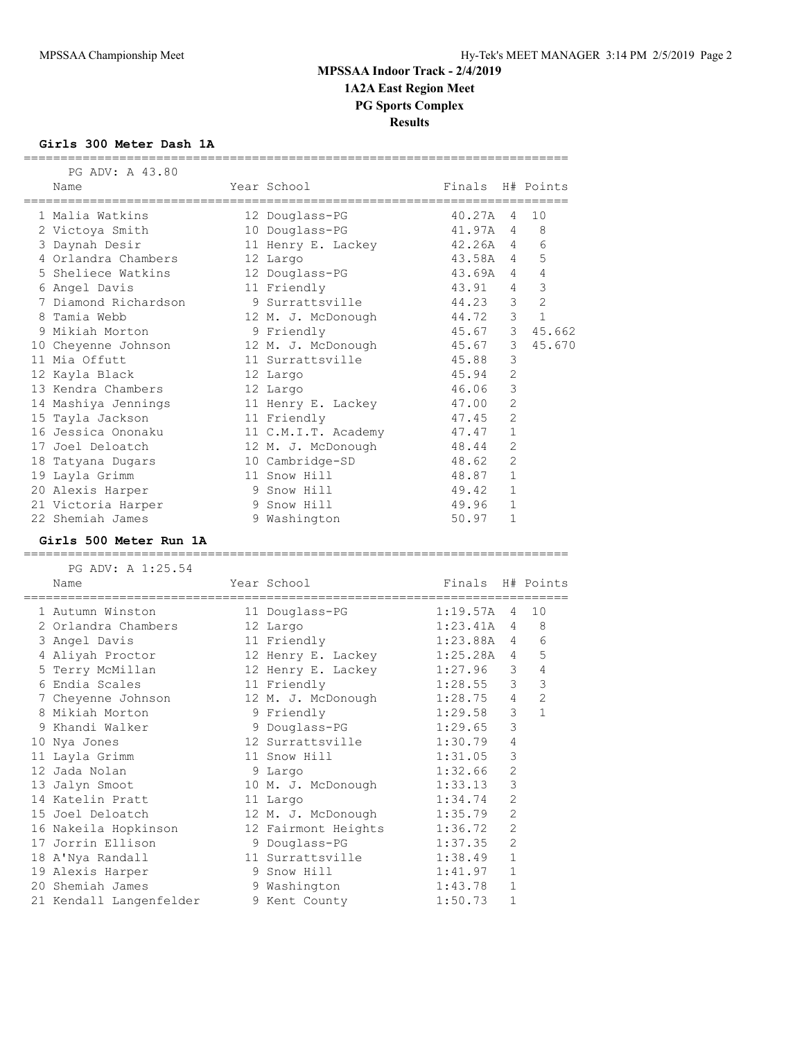## **Girls 300 Meter Dash 1A**

| PG ADV: A 43.80                             |                                |                    |                |                |
|---------------------------------------------|--------------------------------|--------------------|----------------|----------------|
| Name                                        | Year School                    | Finals H# Points   |                |                |
|                                             |                                |                    |                |                |
| 1 Malia Watkins                             | 12 Douglass-PG                 | 40.27A<br>41.97A   | 4<br>4         | 10<br>8        |
| 2 Victoya Smith                             | 10 Douglass-PG                 | 42.26A             | 4              | 6              |
| 3 Daynah Desir<br>4 Orlandra Chambers       | 11 Henry E. Lackey<br>12 Largo | 43.58A             | 4              | 5              |
| 5 Sheliece Watkins                          |                                | 43.69A             | $\overline{4}$ | 4              |
| 6 Angel Davis                               | 12 Douglass-PG<br>11 Friendly  | 43.91              | 4              | 3              |
| 7 Diamond Richardson                        | 9 Surrattsville                | 44.23              | 3              | 2              |
| 8 Tamia Webb                                | 12 M. J. McDonough             | 44.72              | 3 <sup>7</sup> | $\mathbf{1}$   |
| 9 Mikiah Morton                             | 9 Friendly                     | 45.67              | 3              | 45.662         |
| 10 Cheyenne Johnson                         | 12 M. J. McDonough             | 45.67              | 3 <sup>7</sup> | 45.670         |
| 11 Mia Offutt                               | 11 Surrattsville               | 45.88              | 3              |                |
| 12 Kayla Black                              | 12 Largo                       | 45.94              | $\overline{2}$ |                |
| 13 Kendra Chambers                          | 12 Largo                       | 46.06              | 3              |                |
| 14 Mashiya Jennings                         | 11 Henry E. Lackey             | 47.00              | 2              |                |
| 15 Tayla Jackson                            | 11 Friendly                    | 47.45              | 2              |                |
| 16 Jessica Ononaku                          | 11 C.M.I.T. Academy            | 47.47              | 1              |                |
| 17 Joel Deloatch                            | 12 M. J. McDonough             | 48.44              | 2              |                |
|                                             | 10 Cambridge-SD                | 48.62              | 2              |                |
| 18 Tatyana Dugars                           | 11 Snow Hill                   | 48.87              | 1              |                |
| 19 Layla Grimm                              | 9 Snow Hill                    | 49.42              | $\mathbf{1}$   |                |
| 20 Alexis Harper                            | 9 Snow Hill                    |                    | 1              |                |
| 21 Victoria Harper<br>22 Shemiah James      | 9 Washington                   | 49.96<br>50.97     | 1              |                |
|                                             |                                |                    |                |                |
| Girls 500 Meter Run 1A                      |                                |                    |                |                |
|                                             |                                |                    |                |                |
| PG ADV: A 1:25.54                           |                                |                    |                |                |
| Name                                        | Year School                    | Finals H# Points   |                |                |
|                                             |                                |                    |                |                |
| 1 Autumn Winston                            | 11 Douglass-PG                 | $1:19.57A$ 4       |                | 10             |
| 2 Orlandra Chambers                         | 12 Largo                       | 1:23.41A           | 4              | 8              |
| 3 Angel Davis                               | 11 Friendly                    | 1:23.88A           | 4              | 6              |
| 4 Aliyah Proctor                            | 12 Henry E. Lackey             | 1:25.28A           | 4              | 5              |
| 5 Terry McMillan                            | 12 Henry E. Lackey             | 1:27.96            | 3              | $\overline{4}$ |
| 6 Endia Scales                              | 11 Friendly                    | 1:28.55            | $\mathcal{S}$  | 3              |
| 7 Cheyenne Johnson                          | 12 M. J. McDonough             | $1:28.75$ 4        |                | $\overline{2}$ |
| 8 Mikiah Morton                             | 9 Friendly                     | 1:29.58            | 3              | $\mathbf{1}$   |
| 9 Khandi Walker                             | 9 Douglass-PG                  | 1:29.65            | 3              |                |
| 10 Nya Jones                                | 12 Surrattsville               | 1:30.79            | $\overline{4}$ |                |
| 11 Layla Grimm                              | 11 Snow Hill                   | 1:31.05            | $\mathcal{S}$  |                |
| 12 Jada Nolan                               | 9 Largo                        | 1:32.66            | 2              |                |
| 13 Jalyn Smoot                              | 10 M. J. McDonough             | 1:33.13            | 3              |                |
| 14 Katelin Pratt                            | 11 Largo                       | 1:34.74            | 2              |                |
| 15 Joel Deloatch                            | 12 M. J. McDonough             | 1:35.79            | 2              |                |
| 16 Nakeila Hopkinson                        | 12 Fairmont Heights            | 1:36.72            | 2              |                |
| 17 Jorrin Ellison                           | 9 Douglass-PG                  | 1:37.35            | 2              |                |
| 18 A'Nya Randall                            | 11 Surrattsville               | 1:38.49            | $\mathbf 1$    |                |
| 19 Alexis Harper                            | 9 Snow Hill                    | 1:41.97            | $\mathbf 1$    |                |
| 20 Shemiah James<br>21 Kendall Langenfelder | 9 Washington<br>9 Kent County  | 1:43.78<br>1:50.73 | 1<br>1         |                |

==========================================================================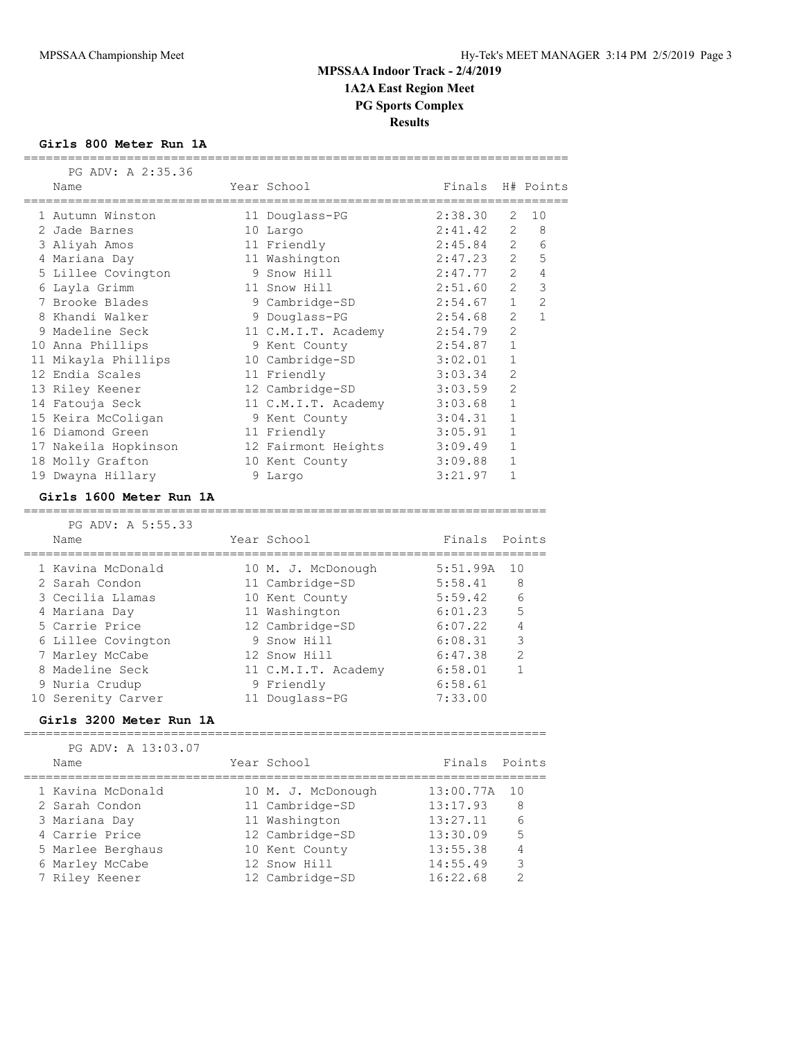#### **Girls 800 Meter Run 1A**

 PG ADV: A 2:35.36 Name The Year School Finals H# Points ========================================================================== 1 Autumn Winston 11 Douglass-PG 2:38.30 2 10 2 Jade Barnes 10 Largo 2:41.42 2 8 3 Aliyah Amos 11 Friendly 2:45.84 2 6 4 Mariana Day 11 Washington 2:47.23 2 5 5 Lillee Covington 9 Snow Hill 2:47.77 2 4 6 Layla Grimm 11 Snow Hill 2:51.60 2 3 7 Brooke Blades 9 Cambridge-SD 2:54.67 1 2 8 Khandi Walker 9 Douglass-PG 2:54.68 2 1 9 Madeline Seck 11 C.M.I.T. Academy 2:54.79 2 10 Anna Phillips 9 Kent County 2:54.87 1 11 Mikayla Phillips 10 Cambridge-SD 3:02.01 1 12 Endia Scales 11 Friendly 3:03.34 2 13 Riley Keener 12 Cambridge-SD 3:03.59 2 14 Fatouja Seck 11 C.M.I.T. Academy 3:03.68 1 15 Keira McColigan 9 Kent County 3:04.31 1 16 Diamond Green 11 Friendly 3:05.91 1 17 Nakeila Hopkinson 12 Fairmont Heights 3:09.49 1 18 Molly Grafton 10 Kent County 3:09.88 1 19 Dwayna Hillary 9 Largo 3:21.97 1 **Girls 1600 Meter Run 1A** ======================================================================= PG ADV: A 5:55.33 Name Year School Finals Points ======================================================================= 1 Kavina McDonald 10 M. J. McDonough 5:51.99A 10 2 Sarah Condon 11 Cambridge-SD 5:58.41 8 3 Cecilia Llamas 10 Kent County 5:59.42 6 4 Mariana Day 11 Washington 6:01.23 5 5 Carrie Price 12 Cambridge-SD 6:07.22 4 6 Lillee Covington 9 Snow Hill 6:08.31 3 7 Marley McCabe 12 Snow Hill 6:47.38 2 8 Madeline Seck 11 C.M.I.T. Academy 6:58.01 1 9 Nuria Crudup 9 Friendly 6:58.61

==========================================================================

#### **Girls 3200 Meter Run 1A**

=======================================================================

10 Serenity Carver 11 Douglass-PG 7:33.00

| PG ADV: A 13:03.07 |                    |               |               |
|--------------------|--------------------|---------------|---------------|
| Name               | Year School        | Finals Points |               |
| 1 Kavina McDonald  | 10 M. J. McDonough | 13:00.77A     | 10            |
| 2 Sarah Condon     | 11 Cambridge-SD    | 13:17.93      | 8             |
| 3 Mariana Day      | 11 Washington      | 13:27.11      | 6             |
| 4 Carrie Price     | 12 Cambridge-SD    | 13:30.09      | 5             |
| 5 Marlee Berghaus  | 10 Kent County     | 13:55.38      |               |
| 6 Marley McCabe    | 12 Snow Hill       | 14:55.49      | 3             |
| 7 Riley Keener     | 12 Cambridge-SD    | 16:22.68      | $\mathcal{D}$ |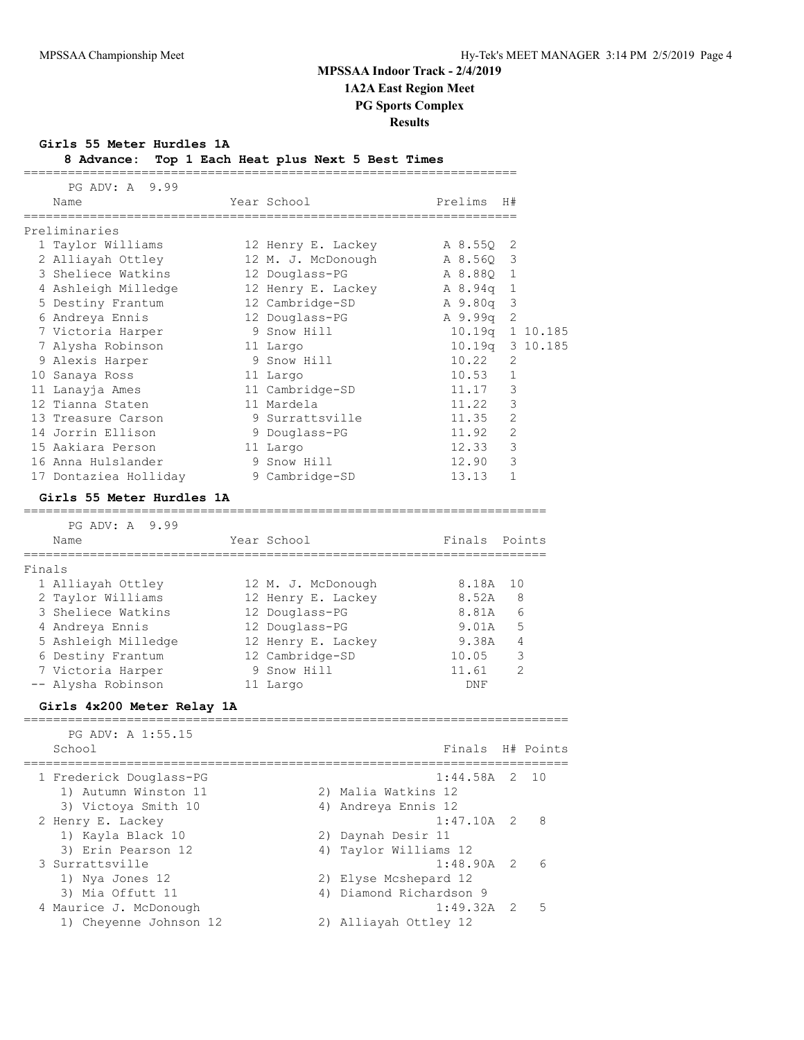**Girls 55 Meter Hurdles 1A**

| 8 Advance: Top 1 Each Heat plus Next 5 Best Time |  |  |  |  |  |
|--------------------------------------------------|--|--|--|--|--|

|        | 8 Advance: Top 1 Each Heat plus Next 5 Best Times                |                    |                       |                 |              |           |
|--------|------------------------------------------------------------------|--------------------|-----------------------|-----------------|--------------|-----------|
|        | PG ADV: A 9.99<br>Name                                           | Year School        |                       | Prelims         | H#           |           |
|        |                                                                  |                    |                       |                 |              |           |
|        | Preliminaries<br>1 Taylor Williams                               | 12 Henry E. Lackey |                       | A 8.55Q         | 2            |           |
|        | 2 Alliayah Ottley                                                | 12 M. J. McDonough |                       | A 8.56Q         | 3            |           |
|        | 3 Sheliece Watkins                                               | 12 Douglass-PG     |                       | A 8.88Q         | 1            |           |
|        | 4 Ashleigh Milledge                                              | 12 Henry E. Lackey |                       | A 8.94q         | 1            |           |
|        | 5 Destiny Frantum                                                | 12 Cambridge-SD    |                       | A 9.80q         | 3            |           |
|        | 6 Andreya Ennis                                                  | 12 Douglass-PG     |                       | A 9.99q         | 2            |           |
|        | 7 Victoria Harper                                                | 9 Snow Hill        |                       | 10.19q 1 10.185 |              |           |
|        | 7 Alysha Robinson                                                | 11 Largo           |                       | 10.19q          |              | 3 10.185  |
|        | 9 Alexis Harper                                                  | 9 Snow Hill        |                       | 10.22           | 2            |           |
|        | 10 Sanaya Ross                                                   | 11 Largo           |                       | 10.53           | $\mathbf{1}$ |           |
|        | 11 Lanayja Ames                                                  | 11 Cambridge-SD    |                       | 11.17           | 3            |           |
|        | 12 Tianna Staten                                                 | 11 Mardela         |                       | 11.22           | 3            |           |
|        | 13 Treasure Carson                                               | 9 Surrattsville    |                       | 11.35           | 2            |           |
|        | 14 Jorrin Ellison                                                | 9 Douglass-PG      |                       | 11.92           | 2            |           |
|        | 15 Aakiara Person                                                | 11 Largo           |                       | 12.33           | 3            |           |
|        | 16 Anna Hulslander                                               | 9 Snow Hill        |                       | 12.90           | 3            |           |
|        | 17 Dontaziea Holliday                                            | 9 Cambridge-SD     |                       | 13.13           | $\mathbf{1}$ |           |
|        | Girls 55 Meter Hurdles 1A<br>=================================== |                    |                       |                 |              |           |
|        | PG ADV: A<br>9.99                                                |                    |                       |                 |              |           |
|        | Name                                                             | Year School        |                       | Finals          |              | Points    |
| Finals |                                                                  |                    |                       |                 |              |           |
|        | 1 Alliayah Ottley                                                | 12 M. J. McDonough |                       | 8.18A           | 10           |           |
|        | 2 Taylor Williams                                                | 12 Henry E. Lackey |                       | 8.52A           |              | 8         |
|        | 3 Sheliece Watkins                                               | 12 Douglass-PG     |                       | 8.81A           |              | 6         |
|        | 4 Andreya Ennis                                                  | 12 Douglass-PG     |                       | 9.01A           |              | 5         |
|        | 5 Ashleigh Milledge                                              | 12 Henry E. Lackey |                       | 9.38A           |              | 4         |
|        | 6 Destiny Frantum                                                | 12 Cambridge-SD    |                       | 10.05           |              | 3         |
|        | 7 Victoria Harper                                                | 9 Snow Hill        |                       | 11.61           |              | 2         |
|        | -- Alysha Robinson                                               | 11 Largo           |                       | DNF             |              |           |
|        | Girls 4x200 Meter Relay 1A                                       |                    |                       |                 |              |           |
|        | PG ADV: A 1:55.15                                                |                    |                       |                 |              |           |
|        | School                                                           |                    |                       | Finals          |              | H# Points |
|        | 1 Frederick Douglass-PG                                          |                    |                       | 1:44.58A        | 2            | 10        |
|        | 1) Autumn Winston 11                                             |                    | 2) Malia Watkins 12   |                 |              |           |
|        | 3) Victoya Smith 10                                              |                    | 4) Andreya Ennis 12   |                 |              |           |
|        | 2 Henry E. Lackey                                                |                    |                       | 1:47.10A        | 2            | 8         |
|        | 1) Kayla Black 10                                                | 2)                 | Daynah Desir 11       |                 |              |           |
|        | 3) Erin Pearson 12                                               |                    | 4) Taylor Williams 12 |                 |              |           |

3 Surrattsville 1:48.90A 2 6

 1) Nya Jones 12 2) Elyse Mcshepard 12 3) Mia Offutt 11 4) Diamond Richardson 9 4 Maurice J. McDonough 1:49.32A 2 5

1) Cheyenne Johnson 12 2) Alliayah Ottley 12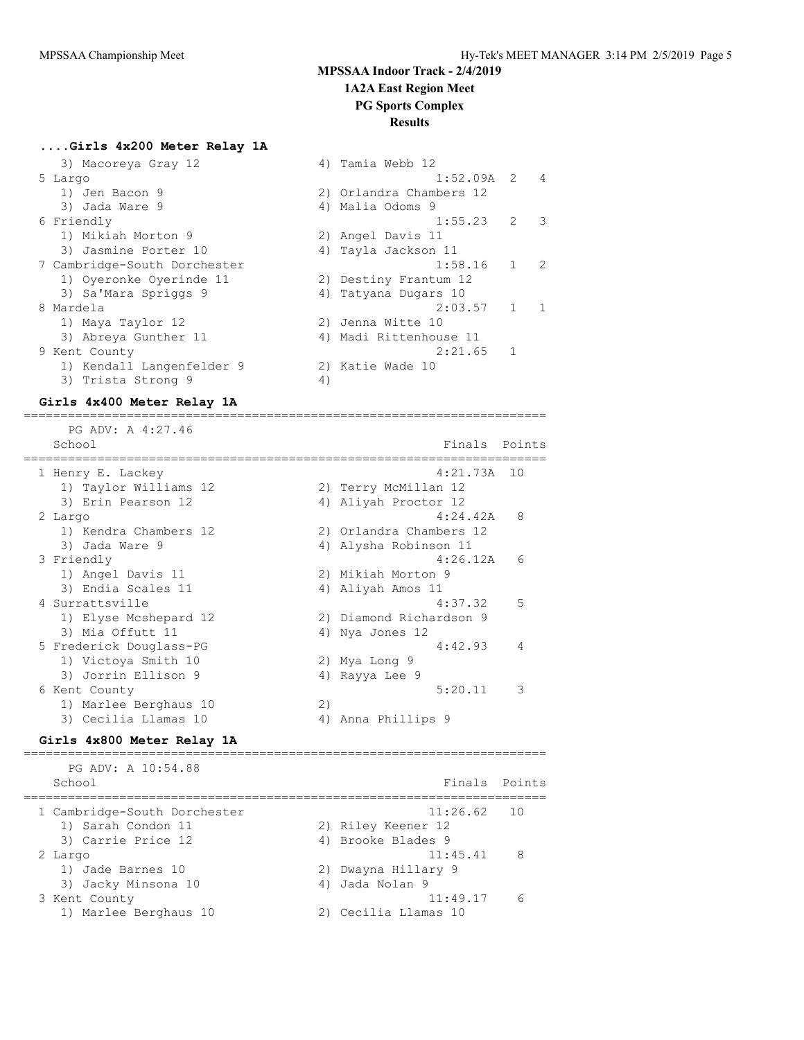# **....Girls 4x200 Meter Relay 1A**

| 3) Macoreya Gray 12       |                                                                                     |                                                                                                                                                                                                                                 |                                                            |
|---------------------------|-------------------------------------------------------------------------------------|---------------------------------------------------------------------------------------------------------------------------------------------------------------------------------------------------------------------------------|------------------------------------------------------------|
|                           |                                                                                     |                                                                                                                                                                                                                                 |                                                            |
| 1) Jen Bacon 9            |                                                                                     |                                                                                                                                                                                                                                 |                                                            |
| 3) Jada Ware 9            |                                                                                     |                                                                                                                                                                                                                                 |                                                            |
|                           |                                                                                     | 2                                                                                                                                                                                                                               | $\overline{\phantom{a}}$                                   |
| 1) Mikiah Morton 9        |                                                                                     |                                                                                                                                                                                                                                 |                                                            |
| 3) Jasmine Porter 10      |                                                                                     |                                                                                                                                                                                                                                 |                                                            |
|                           |                                                                                     | $\mathbf{1}$                                                                                                                                                                                                                    | $\mathcal{L}$                                              |
| 1) Oyeronke Oyerinde 11   |                                                                                     |                                                                                                                                                                                                                                 |                                                            |
| 3) Sa'Mara Spriggs 9      |                                                                                     |                                                                                                                                                                                                                                 |                                                            |
|                           |                                                                                     | $1 \quad 1$                                                                                                                                                                                                                     |                                                            |
| 1) Maya Taylor 12         |                                                                                     |                                                                                                                                                                                                                                 |                                                            |
| 3) Abreya Gunther 11      |                                                                                     |                                                                                                                                                                                                                                 |                                                            |
|                           |                                                                                     | $\mathbf{1}$                                                                                                                                                                                                                    |                                                            |
| 1) Kendall Langenfelder 9 |                                                                                     |                                                                                                                                                                                                                                 |                                                            |
| 3) Trista Strong 9        | 4)                                                                                  |                                                                                                                                                                                                                                 |                                                            |
|                           | 5 Largo<br>6 Friendly<br>7 Cambridge-South Dorchester<br>8 Mardela<br>9 Kent County | 4) Tamia Webb 12<br>2) Orlandra Chambers 12<br>4) Malia Odoms 9<br>2) Angel Davis 11<br>4) Tayla Jackson 11<br>2) Destiny Frantum 12<br>4) Tatyana Dugars 10<br>2) Jenna Witte 10<br>4) Madi Rittenhouse 11<br>2) Katie Wade 10 | $1:52.09A$ 2 4<br>1:55.23<br>1:58.16<br>2:03.57<br>2:21.65 |

=======================================================================

### **Girls 4x400 Meter Relay 1A**

 PG ADV: A 4:27.46 School **Finals** Points ======================================================================= 1 Henry E. Lackey 4:21.73A 10 1) Taylor Williams 12 2) Terry McMillan 12 3) Erin Pearson 12 1988 12 4 4 Aliyah Proctor 12 2 Largo 4:24.42A 8 1) Kendra Chambers 12 2) Orlandra Chambers 12 3) Jada Ware 9 4) Alysha Robinson 11 3 Friendly 4:26.12A 6 1) Angel Davis 11 2) Mikiah Morton 9 3) Endia Scales 11 4) Aliyah Amos 11 4 Surrattsville 5 and 1:37.32 5 1) Elyse Mcshepard 12 2) Diamond Richardson 9 3) Mia Offutt 11 (4) Nya Jones 12 5 Frederick Douglass-PG 4:42.93 4 1) Victoya Smith 10 2) Mya Long 9 3) Jorrin Ellison 9 1944 (4) Rayya Lee 9 6 Kent County 5:20.11 3 1) Marlee Berghaus 10 2)<br>3) Cecilia Llamas 10 2) 4) A 3) Cecilia Llamas 10 (4) Anna Phillips 9

#### **Girls 4x800 Meter Relay 1A** =======================================================================

 PG ADV: A 10:54.88 School **Finals** Points ======================================================================= 1 Cambridge-South Dorchester 11:26.62 10 1) Sarah Condon 11 2) Riley Keener 12 3) Carrie Price 12 (4) Brooke Blades 9 2 Largo 11:45.41 8 1) Jade Barnes 10 2) Dwayna Hillary 9 3) Jacky Minsona 10 4) Jada Nolan 9 3 Kent County 11:49.17 6 1) Marlee Berghaus 10 2) Cecilia Llamas 10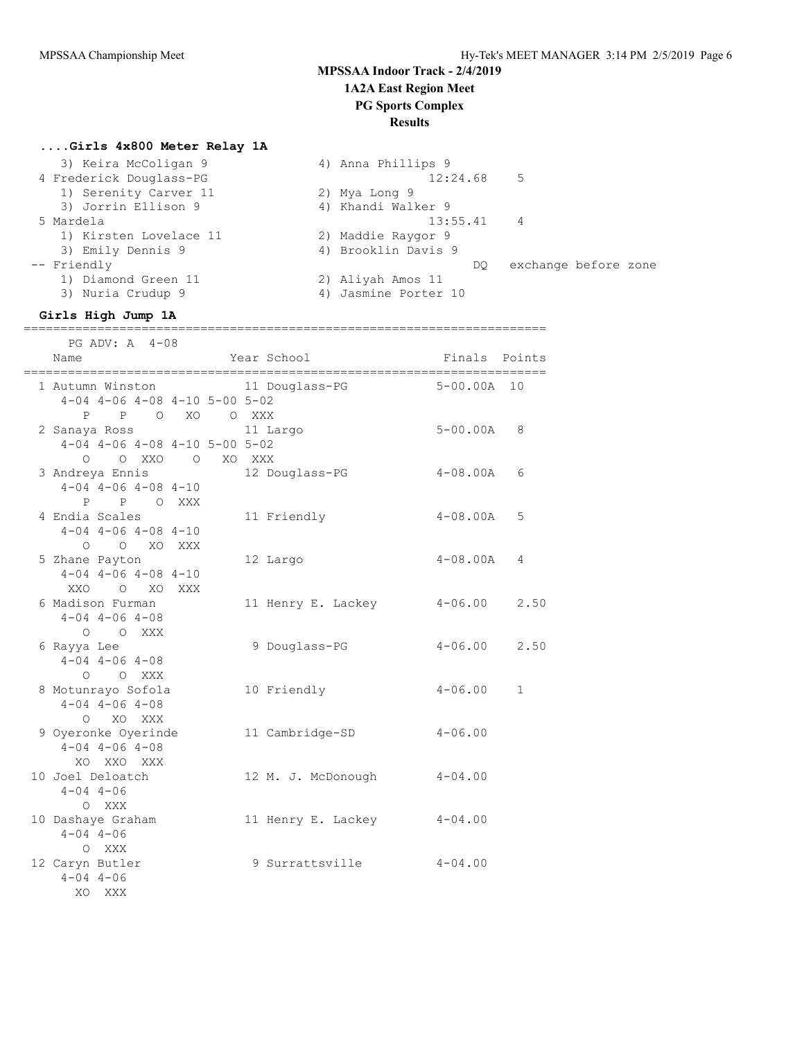# **MPSSAA Indoor Track - 2/4/2019 1A2A East Region Meet**

# **PG Sports Complex**

# **Results**

# **....Girls 4x800 Meter Relay 1A**

| 3) Keira McColigan 9    | 4) Anna Phillips 9   |                      |
|-------------------------|----------------------|----------------------|
| 4 Frederick Douglass-PG | $12:24.68$ 5         |                      |
| 1) Serenity Carver 11   | 2) Mya Long 9        |                      |
| 3) Jorrin Ellison 9     | 4) Khandi Walker 9   |                      |
| 5 Mardela               | $13:55.41$ 4         |                      |
| 1) Kirsten Lovelace 11  | 2) Maddie Raygor 9   |                      |
| 3) Emily Dennis 9       | 4) Brooklin Davis 9  |                      |
| -- Friendly             | DO.                  | exchange before zone |
| 1) Diamond Green 11     | 2) Aliyah Amos 11    |                      |
| 3) Nuria Crudup 9       | 4) Jasmine Porter 10 |                      |
|                         |                      |                      |

### **Girls High Jump 1A**

======================================================================= PG ADV: A 4-08

| Name<br>_____________________________________ |                                        |                                                   |  | Year School                                               | Finals          | Points       |
|-----------------------------------------------|----------------------------------------|---------------------------------------------------|--|-----------------------------------------------------------|-----------------|--------------|
|                                               |                                        | $4-04$ $4-06$ $4-08$ $4-10$ $5-00$ $5-02$         |  | ======================<br>1 Autumn Winston 11 Douglass-PG | 5-00.00A 10     |              |
| 2 Sanaya Ross                                 |                                        | P P O XO O XXX                                    |  | 11 Largo                                                  | 5-00.00A        | 8            |
|                                               |                                        | $4-04$ $4-06$ $4-08$ $4-10$ $5-00$ $5-02$         |  |                                                           |                 |              |
| 3 Andreya Ennis                               |                                        | 0 0 XXO 0 XO XXX                                  |  | 12 Douglass-PG                                            | $4-08$ . $00$ A | 6            |
|                                               |                                        | $4-04$ $4-06$ $4-08$ $4-10$                       |  |                                                           |                 |              |
|                                               |                                        | P P O XXX                                         |  |                                                           |                 |              |
| 4 Endia Scales                                |                                        |                                                   |  | 11 Friendly                                               | $4 - 08.00A$    | 5            |
|                                               |                                        | $4 - 04$ $4 - 06$ $4 - 08$ $4 - 10$<br>Q Q XQ XXX |  |                                                           |                 |              |
| 5 Zhane Payton                                |                                        |                                                   |  | 12 Largo                                                  | $4 - 08.00A$    | 4            |
|                                               |                                        | $4-04$ $4-06$ $4-08$ $4-10$                       |  |                                                           |                 |              |
| 6 Madison Furman                              |                                        | XXO O XO XXX                                      |  | 11 Henry E. Lackey                                        | $4 - 06.00$     | 2.50         |
|                                               | $4 - 04$ $4 - 06$ $4 - 08$             |                                                   |  |                                                           |                 |              |
|                                               | O O XXX                                |                                                   |  |                                                           |                 |              |
| 6 Rayya Lee                                   | $4 - 04$ $4 - 06$ $4 - 08$             |                                                   |  | 9 Douglass-PG                                             | $4 - 06.00$     | 2.50         |
|                                               | $O$ $O$ XXX                            |                                                   |  |                                                           |                 |              |
| 8 Motunrayo Sofola                            |                                        |                                                   |  | 10 Friendly                                               | $4 - 06.00$     | $\mathbf{1}$ |
|                                               | $4 - 04$ $4 - 06$ $4 - 08$<br>O XO XXX |                                                   |  |                                                           |                 |              |
| 9 Oyeronke Oyerinde                           |                                        |                                                   |  | 11 Cambridge-SD                                           | $4 - 06.00$     |              |
|                                               | $4 - 04$ $4 - 06$ $4 - 08$             |                                                   |  |                                                           |                 |              |
|                                               | XO XXO XXX                             |                                                   |  |                                                           |                 |              |
| 10 Joel Deloatch                              | $4 - 04$ $4 - 06$                      |                                                   |  | 12 M. J. McDonough                                        | $4 - 04.00$     |              |
|                                               | O XXX                                  |                                                   |  |                                                           |                 |              |
| 10 Dashaye Graham                             |                                        |                                                   |  | 11 Henry E. Lackey                                        | $4 - 04.00$     |              |
| $4 - 04$ $4 - 06$                             | O XXX                                  |                                                   |  |                                                           |                 |              |
| 12 Caryn Butler                               |                                        |                                                   |  | 9 Surrattsville                                           | $4 - 04.00$     |              |
| $4 - 04$ $4 - 06$                             |                                        |                                                   |  |                                                           |                 |              |
|                                               | XO XXX                                 |                                                   |  |                                                           |                 |              |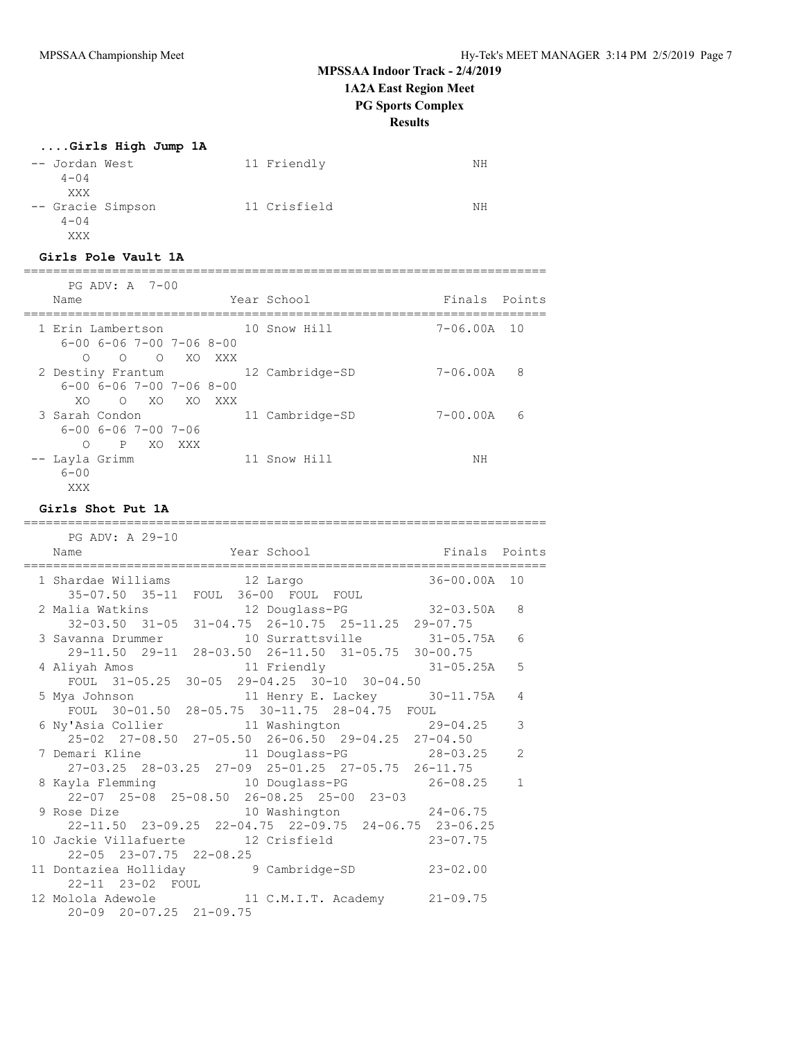# **MPSSAA Indoor Track - 2/4/2019**

**1A2A East Region Meet**

**PG Sports Complex**

**Results**

## **....Girls High Jump 1A**

| -- Jordan West    | 11 Friendly  | NΗ |
|-------------------|--------------|----|
| $4 - 04$          |              |    |
| XXX               |              |    |
| -- Gracie Simpson | 11 Crisfield | NΗ |
| $4 - 04$          |              |    |
| XXX               |              |    |

### **Girls Pole Vault 1A**

|                                              | $PG$ ADV: A $7-00$ |  |                 |                 |  |
|----------------------------------------------|--------------------|--|-----------------|-----------------|--|
| Name                                         |                    |  | Year School     | Finals Points   |  |
| 1 Erin Lambertson                            |                    |  | 10 Snow Hill    | $7 - 06.00A$ 10 |  |
| $6 - 00$ $6 - 06$ $7 - 00$ $7 - 06$ $8 - 00$ |                    |  |                 |                 |  |
|                                              | O O XO XXX         |  |                 |                 |  |
| 2 Destiny Frantum                            |                    |  | 12 Cambridge-SD | $7-06.00A$ 8    |  |
| $6 - 00$ $6 - 06$ $7 - 00$ $7 - 06$ $8 - 00$ |                    |  |                 |                 |  |
| XO                                           | OXOXOXXX           |  |                 |                 |  |

|                | $\sim$ |                     | $\sqrt{2}$ |                 |          |    |
|----------------|--------|---------------------|------------|-----------------|----------|----|
| 3 Sarah Condon |        |                     |            | 11 Cambridge-SD | 7-00.00A | -6 |
|                |        | 6-00 6-06 7-00 7-06 |            |                 |          |    |
|                |        | O PXOXXX            |            |                 |          |    |
| -- Layla Grimm |        |                     |            | 11 Snow Hill    | NΗ       |    |

### **Girls Shot Put 1A**

 6-00 XXX

| PG ADV: A 29-10                                                          |                                                       |               |                |
|--------------------------------------------------------------------------|-------------------------------------------------------|---------------|----------------|
| Name                                                                     | Year School Year                                      | Finals Points |                |
| 1 Shardae Williams 12 Largo                                              |                                                       | 36-00.00A 10  |                |
| 35-07.50 35-11 FOUL 36-00 FOUL FOUL                                      |                                                       |               |                |
| 2 Malia Watkins 12 Douglass-PG 32-03.50A 8                               |                                                       |               |                |
|                                                                          | 32-03.50 31-05 31-04.75 26-10.75 25-11.25 29-07.75    |               |                |
| 3 Savanna Drummer 10 Surrattsville 31-05.75A                             |                                                       |               | 6              |
|                                                                          | 29-11.50 29-11 28-03.50 26-11.50 31-05.75 30-00.75    |               |                |
|                                                                          |                                                       |               |                |
|                                                                          | FOUL 31-05.25 30-05 29-04.25 30-10 30-04.50           |               |                |
| 5 Mya Johnson                       11 Henry E. Lackey         30-11.75A |                                                       |               | $\overline{4}$ |
|                                                                          | FOUL 30-01.50 28-05.75 30-11.75 28-04.75 FOUL         |               |                |
| 6 Ny'Asia Collier 11 Washington 29-04.25                                 |                                                       |               | 3              |
|                                                                          | 25-02 27-08.50 27-05.50 26-06.50 29-04.25 27-04.50    |               |                |
| 7 Demari Kline 11 Douglass-PG 28-03.25                                   |                                                       |               | 2              |
|                                                                          | 27-03.25 28-03.25 27-09 25-01.25 27-05.75 26-11.75    |               |                |
| 8 Kayla Flemming 10 Douglass-PG 26-08.25 1                               |                                                       |               |                |
|                                                                          | 22-07 25-08 25-08.50 26-08.25 25-00 23-03             |               |                |
| 9 Rose Dize 10 Washington 24-06.75                                       |                                                       |               |                |
|                                                                          | 22-11.50 23-09.25 22-04.75 22-09.75 24-06.75 23-06.25 |               |                |
| 10 Jackie Villafuerte 12 Crisfield 10 3-07.75                            |                                                       |               |                |
| 22-05 23-07.75 22-08.25                                                  |                                                       |               |                |
| 11 Dontaziea Holliday (9 Cambridge-SD 23-02.00                           |                                                       |               |                |
| 22-11 23-02 FOUL                                                         |                                                       |               |                |
| 12 Molola Adewole 11 C.M.I.T. Academy 21-09.75                           |                                                       |               |                |
| 20-09 20-07.25 21-09.75                                                  |                                                       |               |                |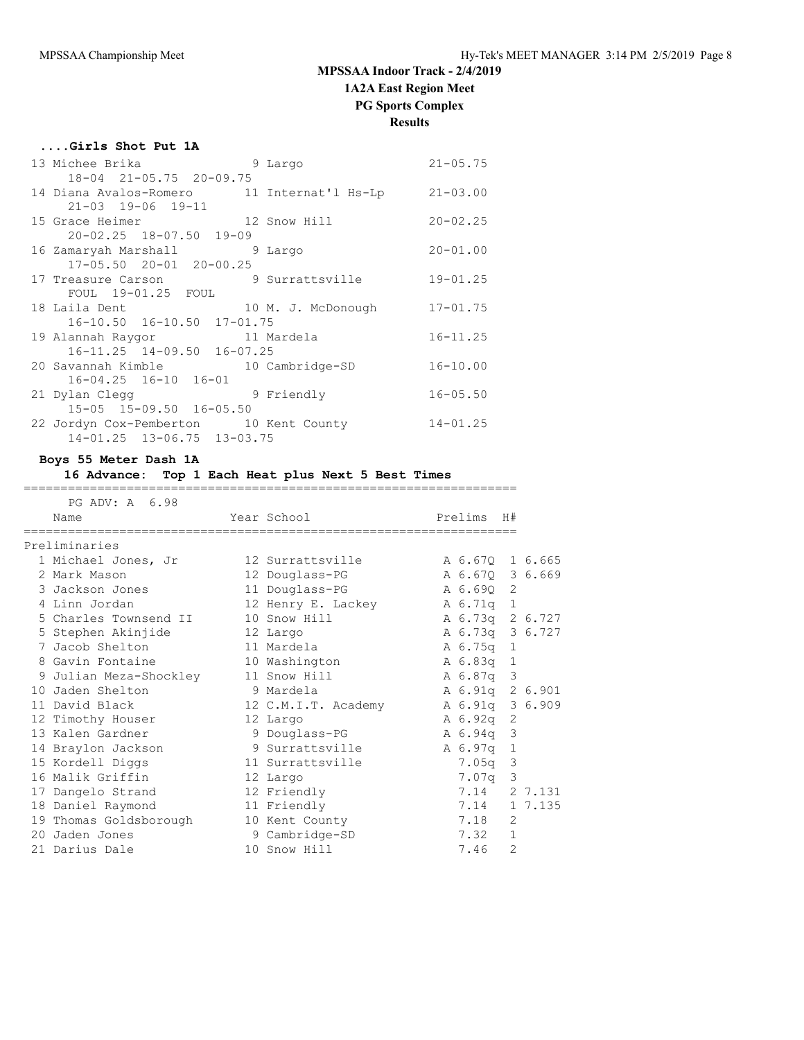# **MPSSAA Indoor Track - 2/4/2019**

**1A2A East Region Meet**

### **PG Sports Complex**

**Results**

| Girls Shot Put 1A |  |  |
|-------------------|--|--|
|                   |  |  |

| 13 Michee Brika              | 9 Largo                                    | $21 - 05.75$ |
|------------------------------|--------------------------------------------|--------------|
| 18-04 21-05.75 20-09.75      |                                            |              |
|                              | 14 Diana Avalos-Romero 11 Internat'l Hs-Lp | $21 - 03.00$ |
| 21-03 19-06 19-11            |                                            |              |
|                              | 15 Grace Heimer 12 Snow Hill               | $20 - 02.25$ |
| 20-02.25 18-07.50 19-09      |                                            |              |
| 16 Zamaryah Marshall 9 Largo |                                            | $20 - 01.00$ |
| 17-05.50 20-01 20-00.25      |                                            |              |
|                              | 17 Treasure Carson 5 9 Surrattsville       | $19 - 01.25$ |
| FOUL 19-01.25 FOUL           |                                            |              |
|                              |                                            | $17 - 01.75$ |
| 16-10.50 16-10.50 17-01.75   |                                            |              |
| 19 Alannah Raygor 11 Mardela |                                            | $16 - 11.25$ |
| 16-11.25 14-09.50 16-07.25   |                                            |              |
|                              | 20 Savannah Kimble 10 Cambridge-SD         | $16 - 10.00$ |
| $16-04.25$ $16-10$ $16-01$   |                                            |              |
| 21 Dylan Clegg               | 9 Friendly                                 | $16 - 05.50$ |
| 15-05 15-09.50 16-05.50      |                                            |              |
|                              | 22 Jordyn Cox-Pemberton 10 Kent County     | $14 - 01.25$ |
| 14-01.25 13-06.75 13-03.75   |                                            |              |

#### **Boys 55 Meter Dash 1A**

### **16 Advance: Top 1 Each Heat plus Next 5 Best Times**

=================================================================== PG ADV: A 6.98 Name Year School Prelims H# =================================================================== Preliminaries 1 Michael Jones, Jr 12 Surrattsville A 6.67Q 1 6.665 2 Mark Mason 12 Douglass-PG A 6.67Q 3 6.669 3 Jackson Jones 11 Douglass-PG A 6.69Q 2 4 Linn Jordan 12 Henry E. Lackey A 6.71q 1 5 Charles Townsend II 10 Snow Hill 11 A 6.73q 2 6.727 5 Stephen Akinjide 12 Largo A 6.73q 3 6.727 7 Jacob Shelton 11 Mardela A 6.75q 1 8 Gavin Fontaine 10 Washington A 6.83q 1 9 Julian Meza-Shockley 11 Snow Hill A 6.87q 3 10 Jaden Shelton 9 Mardela A 6.91q 2 6.901 11 David Black 12 C.M.I.T. Academy A 6.91q 3 6.909 12 Timothy Houser 12 Largo A 6.92q 2 13 Kalen Gardner 9 Douglass-PG A 6.94q 3 14 Braylon Jackson 9 Surrattsville A 6.97q 1 15 Kordell Diggs 11 Surrattsville 7.05q 3 16 Malik Griffin 12 Largo 7.07q 3 17 Dangelo Strand 12 Friendly 7.14 2 7.131 18 Daniel Raymond 11 Friendly 7.14 1 7.135 19 Thomas Goldsborough 10 Kent County 7.18 2 20 Jaden Jones 9 Cambridge-SD 7.32 1 21 Darius Dale 10 Snow Hill 7.46 2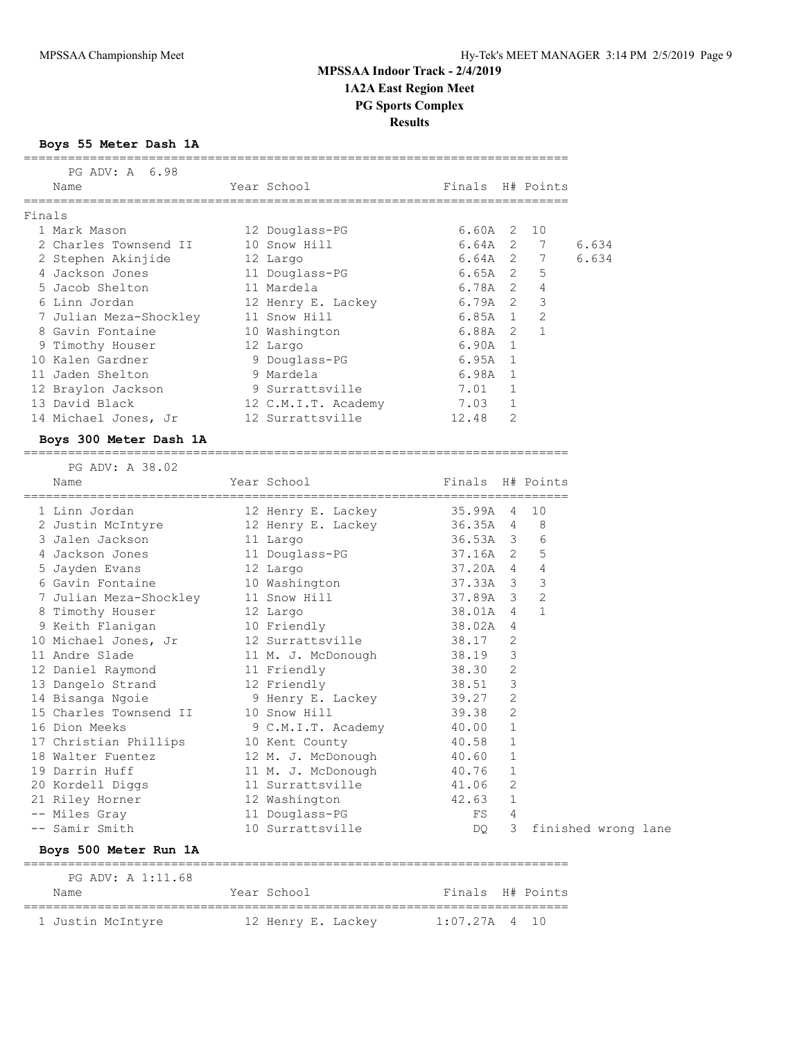**Results**

#### **Boys 55 Meter Dash 1A**

========================================================================== PG ADV: A 6.98 Name The Year School The Finals H# Points ========================================================================== Finals 1 Mark Mason 12 Douglass-PG 6.60A 2 10 2 Charles Townsend II 10 Snow Hill 6.64A 2 7 6.634 2 Stephen Akinjide 12 Largo 6.64A 2 7 6.634 4 Jackson Jones 11 Douglass-PG 6.65A 2 5 5 Jacob Shelton 11 Mardela 6.78A 2 4 6 Linn Jordan 12 Henry E. Lackey 6.79A 2 3 7 Julian Meza-Shockley 11 Snow Hill 6.85A 1 2 8 Gavin Fontaine 10 Washington 6.88A 2 1 9 Timothy Houser 12 Largo 6.90A 1 10 Kalen Gardner 9 Douglass-PG 6.95A 1 11 Jaden Shelton 9 Mardela 6.98A 1 12 Braylon Jackson 9 Surrattsville 7.01 1 13 David Black 12 C.M.I.T. Academy 7.03 1 14 Michael Jones, Jr 12 Surrattsville 12.48 2 **Boys 300 Meter Dash 1A** ========================================================================== PG ADV: A 38.02 Name The Year School Finals H# Points ========================================================================== 1 Linn Jordan 12 Henry E. Lackey 35.99A 4 10 2 Justin McIntyre 12 Henry E. Lackey 36.35A 4 8 3 Jalen Jackson 11 Largo 36.53A 3 6 4 Jackson Jones 11 Douglass-PG 37.16A 2 5 5 Jayden Evans 12 Largo 37.20A 4 4 6 Gavin Fontaine 10 Washington 37.33A 3 3 7 Julian Meza-Shockley 11 Snow Hill 37.89A 3 2 8 Timothy Houser 12 Largo 38.01A 4 1 9 Keith Flanigan 10 Friendly 38.02A 4 10 Michael Jones, Jr 12 Surrattsville 38.17 2 11 Andre Slade 11 M. J. McDonough 38.19 3 12 Daniel Raymond 11 Friendly 38.30 2 13 Dangelo Strand 12 Friendly 38.51 3 14 Bisanga Ngoie 9 Henry E. Lackey 39.27 2 15 Charles Townsend II 10 Snow Hill 39.38 2 16 Dion Meeks 9 C.M.I.T. Academy 40.00 1 17 Christian Phillips 10 Kent County 40.58 1 18 Walter Fuentez 12 M. J. McDonough 40.60 1 19 Darrin Huff 11 M. J. McDonough 40.76 1 20 Kordell Diggs 11 Surrattsville 41.06 2 21 Riley Horner 12 Washington 42.63 1 -- Miles Gray 11 Douglass-PG FS 4 -- Samir Smith 10 Surrattsville DQ 3 finished wrong lane

#### **Boys 500 Meter Run 1A**

 PG ADV: A 1:11.68 Name The Year School Team Points H# Points ========================================================================== 1 Justin McIntyre 12 Henry E. Lackey 1:07.27A 4 10

==========================================================================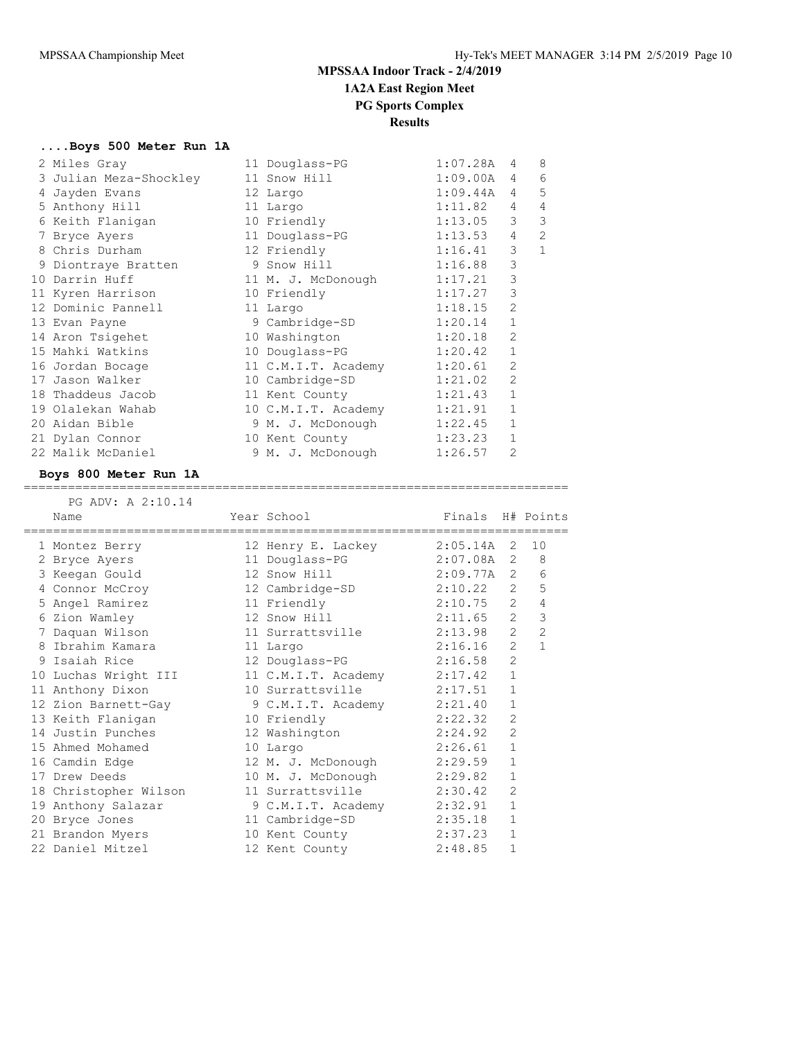## **....Boys 500 Meter Run 1A**

| 2 Miles Gray               | 11 Douglass-PG      | 1:07.28A | 4              | 8              |
|----------------------------|---------------------|----------|----------------|----------------|
| 3 Julian Meza-Shockley     | 11 Snow Hill        | 1:09.00A | 4              | 6              |
| 12 Largo<br>4 Jayden Evans |                     | 1:09.44A | 4              | 5              |
| 5 Anthony Hill             | 11 Largo            | 1:11.82  | 4              | 4              |
| 6 Keith Flanigan           | 10 Friendly         | 1:13.05  | 3              | 3              |
| 7 Bryce Ayers              | 11 Douglass-PG      | 1:13.53  | 4              | $\overline{2}$ |
| 8 Chris Durham             | 12 Friendly         | 1:16.41  | 3              | $\mathbf{1}$   |
| 9 Diontraye Bratten        | 9 Snow Hill         | 1:16.88  | 3              |                |
| 10 Darrin Huff             | 11 M. J. McDonough  | 1:17.21  | 3              |                |
| 11 Kyren Harrison          | 10 Friendly         | 1:17.27  | 3              |                |
| 12 Dominic Pannell         | 11 Largo            | 1:18.15  | $\overline{2}$ |                |
| 13 Evan Payne              | 9 Cambridge-SD      | 1:20.14  | $\mathbf{1}$   |                |
| 14 Aron Tsigehet           | 10 Washington       | 1:20.18  | $\overline{2}$ |                |
| 15 Mahki Watkins           | 10 Douglass-PG      | 1:20.42  | $\mathbf 1$    |                |
| 16 Jordan Bocage           | 11 C.M.I.T. Academy | 1:20.61  | $\overline{2}$ |                |
| 17 Jason Walker            | 10 Cambridge-SD     | 1:21.02  | $\overline{2}$ |                |
| 18 Thaddeus Jacob          | 11 Kent County      | 1:21.43  | $\mathbf{1}$   |                |
| 19 Olalekan Wahab          | 10 C.M.I.T. Academy | 1:21.91  | 1              |                |
| 20 Aidan Bible             | 9 M. J. McDonough   | 1:22.45  | 1              |                |
| 21 Dylan Connor            | 10 Kent County      | 1:23.23  | 1              |                |
| 22 Malik McDaniel          | 9 M. J. McDonough   | 1:26.57  | $\overline{2}$ |                |

## **Boys 800 Meter Run 1A**

# ==========================================================================

|   | PG ADV: A 2:10.14<br>Name | Year School                           | Finals H# Points |                |                |
|---|---------------------------|---------------------------------------|------------------|----------------|----------------|
|   |                           | ===================================== |                  |                |                |
|   | 1 Montez Berry            | 12 Henry E. Lackey                    | 2:05.14A         | 2              | 10             |
|   | 2 Bryce Ayers             | 11 Douglass-PG                        | 2:07.08A         | 2              | 8              |
|   | 3 Keegan Gould            | 12 Snow Hill                          | 2:09.77A         | 2              | 6              |
|   | 4 Connor McCroy           | 12 Cambridge-SD                       | 2:10.22          | 2              | 5              |
|   | 5 Angel Ramirez           | 11 Friendly                           | 2:10.75          | $\overline{2}$ | 4              |
|   | 6 Zion Wamley             | 12 Snow Hill                          | 2:11.65          | $\overline{2}$ | 3              |
|   | 7 Daquan Wilson           | 11 Surrattsville                      | 2:13.98          | $\overline{2}$ | $\overline{2}$ |
| 8 | Ibrahim Kamara            | 11 Largo                              | 2:16.16          | $\mathcal{L}$  | $\mathbf{1}$   |
|   | 9 Isaiah Rice             | 12 Douglass-PG                        | 2:16.58          | $\overline{2}$ |                |
|   | 10 Luchas Wright III      | 11 C.M.I.T. Academy                   | 2:17.42          | $\mathbf 1$    |                |
|   | 11 Anthony Dixon          | 10 Surrattsville                      | 2:17.51          | $\mathbf{1}$   |                |
|   | 12 Zion Barnett-Gay       | 9 C.M.I.T. Academy                    | 2:21.40          | 1              |                |
|   | 13 Keith Flanigan         | 10 Friendly                           | 2:22.32          | $\overline{2}$ |                |
|   | 14 Justin Punches         | 12 Washington                         | 2:24.92          | $\overline{2}$ |                |
|   | 15 Ahmed Mohamed          | 10 Largo                              | 2:26.61          | $\mathbf 1$    |                |
|   | 16 Camdin Edge            | 12 M. J. McDonough                    | 2:29.59          | $\mathbf 1$    |                |
|   | 17 Drew Deeds             | 10 M. J. McDonough                    | 2:29.82          | $\mathbf{1}$   |                |
|   | 18 Christopher Wilson     | 11 Surrattsville                      | 2:30.42          | $\overline{2}$ |                |
|   | 19 Anthony Salazar        | 9 C.M.I.T. Academy                    | 2:32.91          | $\mathbf{1}$   |                |
|   | 20 Bryce Jones            | 11 Cambridge-SD                       | 2:35.18          | $\mathbf{1}$   |                |
|   | 21 Brandon Myers          | 10 Kent County                        | 2:37.23          | $\mathbf{1}$   |                |
|   | 22 Daniel Mitzel          | 12 Kent County                        | 2:48.85          | 1              |                |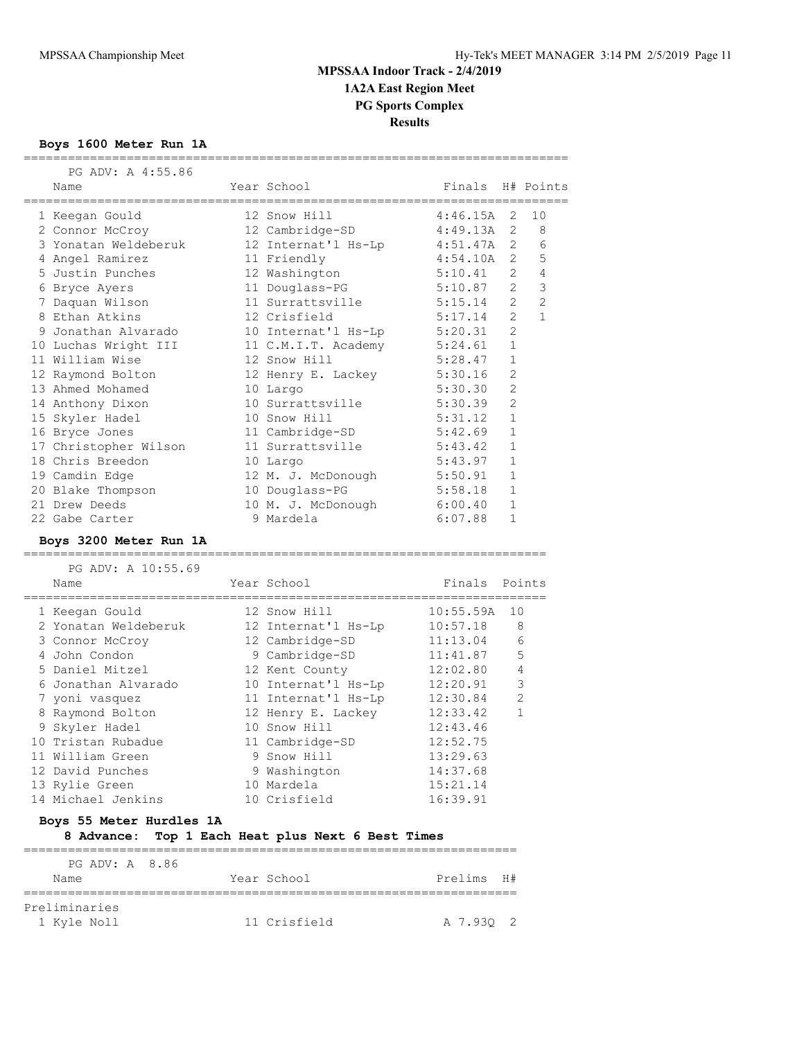## **Boys 1600 Meter Run 1A**

| PG ADV: A 4:55.86<br>Name  | Year School                                                                                                             | Finals        |                       | H# Points      |
|----------------------------|-------------------------------------------------------------------------------------------------------------------------|---------------|-----------------------|----------------|
| 1 Keegan Gould             | 12 Snow Hill                                                                                                            | 4:46.15A      | 2                     | 10             |
| 2 Connor McCroy            | 12 Cambridge-SD                                                                                                         | 4:49.13A      | 2                     | 8              |
| 3 Yonatan Weldeberuk       | 12 Internat'l Hs-Lp                                                                                                     | 4:51.47A      | 2                     | 6              |
| 4 Angel Ramirez            | 11 Friendly                                                                                                             | 4:54.10A      | $\overline{2}$        | 5              |
| 5 Justin Punches           | 12 Washington                                                                                                           | 5:10.41       | $\overline{2}$        | $\overline{4}$ |
| 6 Bryce Ayers              | 11 Douglass-PG                                                                                                          | 5:10.87       | $\overline{2}$        | 3              |
| 7 Daquan Wilson            | 11 Surrattsville                                                                                                        | 5:15.14       | $\mathbf{2}^{\prime}$ | 2              |
| 8 Ethan Atkins             | 12 Crisfield                                                                                                            | 5:17.14       | $\mathbf{2}^{\prime}$ | $\mathbf{1}$   |
| 9 Jonathan Alvarado        | 10 Internat'l Hs-Lp                                                                                                     | 5:20.31       | 2                     |                |
| 10 Luchas Wright III       | 11 C.M.I.T. Academy                                                                                                     | 5:24.61       | 1                     |                |
| 11 William Wise            | 12 Snow Hill                                                                                                            | 5:28.47       | $\mathbf{1}$          |                |
| 12 Raymond Bolton          | 12 Henry E. Lackey                                                                                                      | 5:30.16       | 2                     |                |
| 13 Ahmed Mohamed           | 10 Largo                                                                                                                | 5:30.30       | $\overline{2}$        |                |
| 14 Anthony Dixon           | 10 Surrattsville                                                                                                        | 5:30.39       | 2                     |                |
| 15 Skyler Hadel            | 10 Snow Hill                                                                                                            | 5:31.12       | 1                     |                |
| 16 Bryce Jones             | 11 Cambridge-SD                                                                                                         | 5:42.69       | $\mathbf{1}$          |                |
| 17 Christopher Wilson      | 11 Surrattsville                                                                                                        | 5:43.42       | 1                     |                |
| 18 Chris Breedon           | 10 Largo                                                                                                                | 5:43.97       | 1                     |                |
| 19 Camdin Edge             | 12 M. J. McDonough                                                                                                      | 5:50.91       | 1                     |                |
| 20 Blake Thompson          | 10 Douglass-PG                                                                                                          | 5:58.18       | $\mathbf{1}$          |                |
| 21 Drew Deeds              | 10 M. J. McDonough                                                                                                      | 6:00.40       | $\mathbf{1}$          |                |
| 22 Gabe Carter             | 9 Mardela                                                                                                               | 6:07.88       | $\mathbf{1}$          |                |
| Boys 3200 Meter Run 1A     |                                                                                                                         |               |                       |                |
| PG ADV: A 10:55.69         |                                                                                                                         |               |                       |                |
| Name<br>;================= | Year School                                                                                                             | Finals Points |                       |                |
| 1 Keegan Gould             | 12 Snow Hill                                                                                                            | 10:55.59A     | 10                    |                |
| 2 Yonatan Weldeberuk       | 12 Internat'l Hs-Lp                                                                                                     | 10:57.18      | 8                     |                |
| 3 Connor McCroy            | 12 Cambridge-SD                                                                                                         | 11:13.04      | 6                     |                |
| 4 John Condon              | 9 Cambridge-SD                                                                                                          | 11:41.87      | 5                     |                |
| 5 Daniel Mitzel            | 12 Kent County                                                                                                          | 12:02.80      | 4                     |                |
| 6 Jonathan Alvarado        | 10 Internat'l Hs-Lp                                                                                                     | 12:20.91      | 3                     |                |
| 7 yoni vasquez             | 11 Internat'l Hs-Lp                                                                                                     | 12:30.84      | 2                     |                |
| 8 Raymond Bolton           | 12 Henry E. Lackey                                                                                                      | 12:33.42      | $\mathbf{1}$          |                |
| 9 Skyler Hadel             | 10 Snow Hill                                                                                                            | 12:43.46      |                       |                |
| 10 Tristan Rubadue         | 11 Cambridge-SD                                                                                                         | 12:52.75      |                       |                |
| 11 William Green           | 9 Snow Hill                                                                                                             | 13:29.63      |                       |                |
| 12 David Punches           | 9 Washington                                                                                                            | 14:37.68      |                       |                |
| 13 Rylie Green             | 10 Mardela                                                                                                              | 15:21.14      |                       |                |
| 14 Michael Jenkins         | 10 Crisfield                                                                                                            | 16:39.91      |                       |                |
| Boys 55 Meter Hurdles 1A   | $\mathbf{r}$ , and $\mathbf{r}$ , and $\mathbf{r}$ , and $\mathbf{r}$ , and $\mathbf{r}$<br>$\sim$ $\sim$ $\sim$<br>. . |               |                       |                |

==========================================================================

**8 Advance: Top 1 Each Heat plus Next 6 Best Times** ======================================

| PG ADV: A 8.86 |              |            |  |
|----------------|--------------|------------|--|
| Name           | Year School  | Prelims H# |  |
|                |              |            |  |
| Preliminaries  |              |            |  |
| 1 Kyle Noll    | 11 Crisfield | A 7.930 2  |  |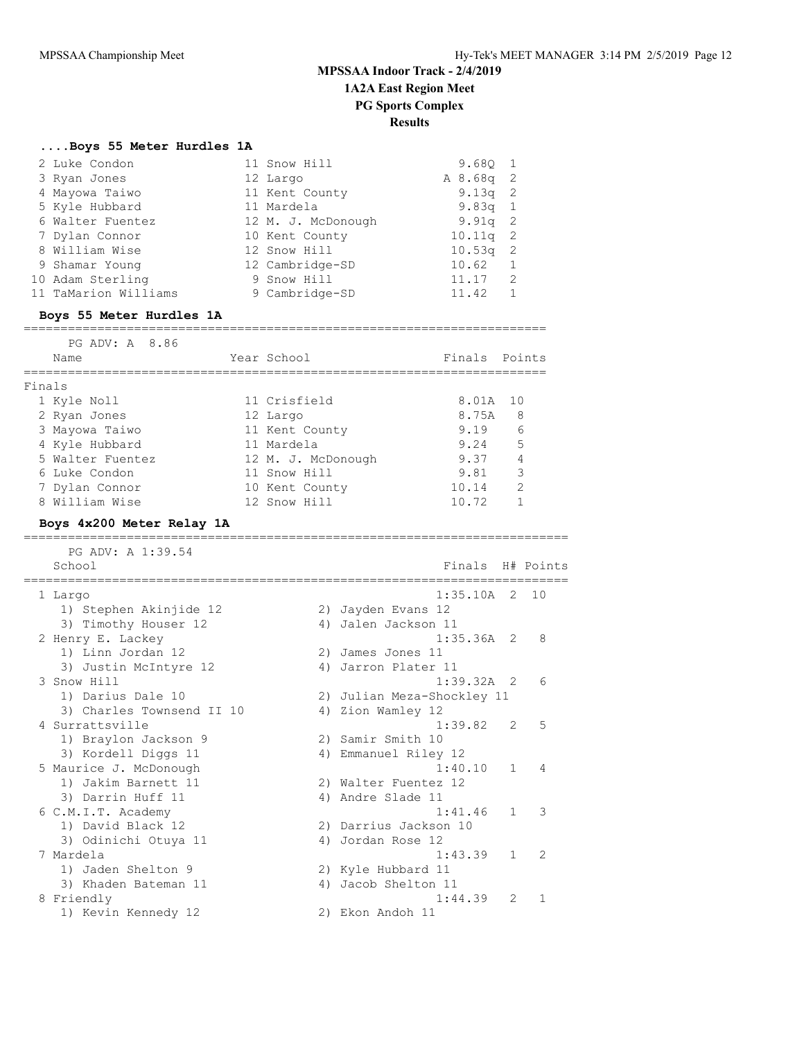### **....Boys 55 Meter Hurdles 1A**

| 2 Luke Condon        | 11 Snow Hill       | 9.680 1    |    |
|----------------------|--------------------|------------|----|
| 3 Ryan Jones         | 12 Largo           | A 8.68q 2  |    |
| 4 Mayowa Taiwo       | 11 Kent County     | 9.13q $2$  |    |
| 5 Kyle Hubbard       | 11 Mardela         | $9.83q$ 1  |    |
| 6 Walter Fuentez     | 12 M. J. McDonough | $9.91q$ 2  |    |
| 7 Dylan Connor       | 10 Kent County     | $10.11q$ 2 |    |
| 8 William Wise       | 12 Snow Hill       | $10.53q$ 2 |    |
| 9 Shamar Young       | 12 Cambridge-SD    | 10.62      |    |
| 10 Adam Sterling     | 9 Snow Hill        | 11.17      | -2 |
| 11 TaMarion Williams | 9 Cambridge-SD     | 11.42      |    |

### **Boys 55 Meter Hurdles 1A**

#### =======================================================================

| PG ADV: A 8.86   |                    |               |               |
|------------------|--------------------|---------------|---------------|
| Name             | Year School        | Finals Points |               |
|                  |                    |               |               |
| Finals           |                    |               |               |
| 1 Kyle Noll      | 11 Crisfield       | 8.01A         | 10            |
| 2 Ryan Jones     | 12 Largo           | 8.75A         | 8             |
| 3 Mayowa Taiwo   | 11 Kent County     | 9.19          | 6             |
| 4 Kyle Hubbard   | 11 Mardela         | 9.24          | 5             |
| 5 Walter Fuentez | 12 M. J. McDonough | 9.37          | 4             |
| 6 Luke Condon    | 11 Snow Hill       | 9.81          | 3             |
| 7 Dylan Connor   | 10 Kent County     | 10.14         | $\mathcal{P}$ |
| 8 William Wise   | 12 Snow Hill       | 10.72         |               |

## **Boys 4x200 Meter Relay 1A**

========================================================================== PG ADV: A 1:39.54

| School                    |    | Finals                     |                | H# Points      |
|---------------------------|----|----------------------------|----------------|----------------|
| 1 Largo                   |    | $1:35.10A$ 2 10            |                |                |
| 1) Stephen Akinjide 12    |    | 2) Jayden Evans 12         |                |                |
| 3) Timothy Houser 12      | 4) | Jalen Jackson 11           |                |                |
| 2 Henry E. Lackey         |    | $1:35.36A$ 2               |                | 8              |
| 1) Linn Jordan 12         |    | 2) James Jones 11          |                |                |
| 3) Justin McIntyre 12     | 4) | Jarron Plater 11           |                |                |
| 3 Snow Hill               |    | $1:39.32A$ 2               |                | 6              |
| 1) Darius Dale 10         |    | 2) Julian Meza-Shockley 11 |                |                |
| 3) Charles Townsend II 10 |    | 4) Zion Wamley 12          |                |                |
| 4 Surrattsville           |    | 1:39.82 2                  |                | 5              |
| 1) Braylon Jackson 9      |    | 2) Samir Smith 10          |                |                |
| 3) Kordell Diggs 11       |    | 4) Emmanuel Riley 12       |                |                |
| 5 Maurice J. McDonough    |    | 1:40.10                    | 1              | $\overline{4}$ |
| 1) Jakim Barnett 11       |    | 2) Walter Fuentez 12       |                |                |
| 3) Darrin Huff 11         |    | 4) Andre Slade 11          |                |                |
| 6 C.M.I.T. Academy        |    | 1:41.46                    | $\mathbf{1}$   | 3              |
| 1) David Black 12         |    | 2) Darrius Jackson 10      |                |                |
| 3) Odinichi Otuya 11      | 4) | Jordan Rose 12             |                |                |
| 7 Mardela                 |    | 1:43.39                    | 1              | $\mathcal{L}$  |
| 1) Jaden Shelton 9        |    | 2) Kyle Hubbard 11         |                |                |
| 3) Khaden Bateman 11      | 4) | Jacob Shelton 11           |                |                |
| 8 Friendly                |    | 1:44.39                    | $\overline{2}$ | 1              |
| 1) Kevin Kennedy 12       |    | 2) Ekon Andoh 11           |                |                |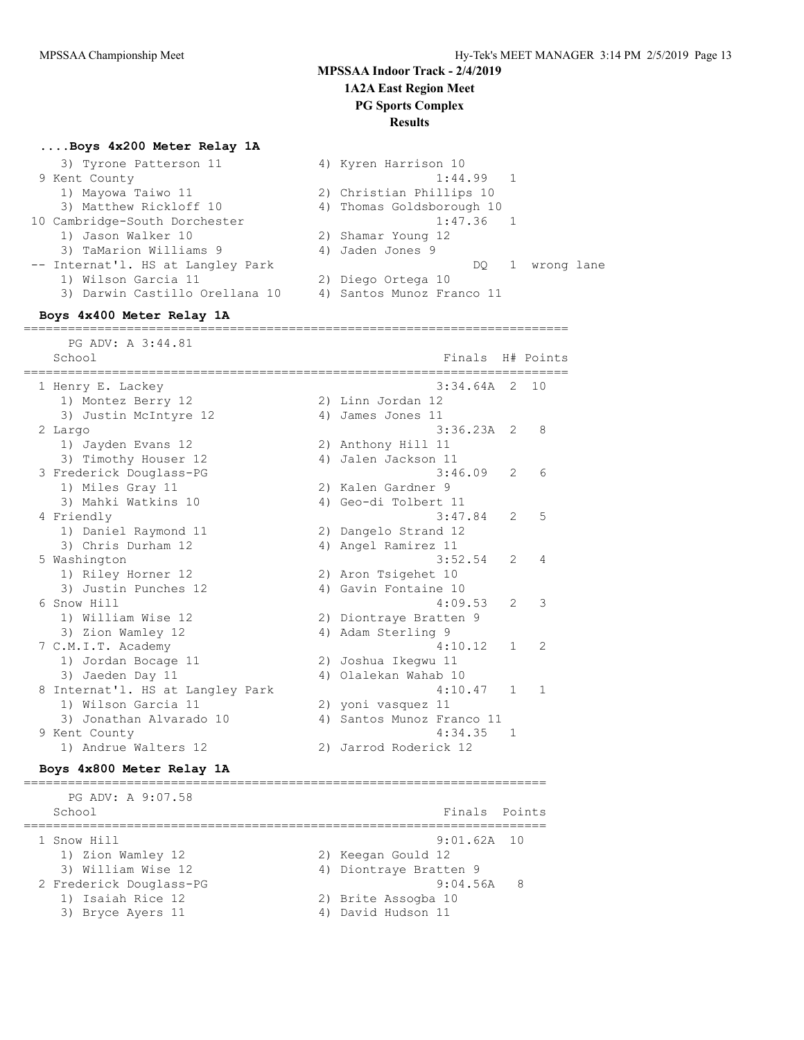### **....Boys 4x200 Meter Relay 1A**

| 3) Tyrone Patterson 11<br>9 Kent County | 4) Kyren Harrison 10<br>1:44.99 | 1              |              |  |
|-----------------------------------------|---------------------------------|----------------|--------------|--|
| 1) Mayowa Taiwo 11                      | 2) Christian Phillips 10        |                |              |  |
| 3) Matthew Rickloff 10                  | 4) Thomas Goldsborough 10       |                |              |  |
| 10 Cambridge-South Dorchester           | 1:47.36                         | 1              |              |  |
| 1) Jason Walker 10                      | 2) Shamar Young 12              |                |              |  |
| 3) TaMarion Williams 9                  | 4) Jaden Jones 9                |                |              |  |
| -- Internat'l. HS at Langley Park       | DQ.                             |                | 1 wrong lane |  |
| 1) Wilson Garcia 11                     | 2) Diego Ortega 10              |                |              |  |
| 3) Darwin Castillo Orellana 10          | 4) Santos Munoz Franco 11       |                |              |  |
| Boys 4x400 Meter Relay 1A               |                                 |                |              |  |
|                                         |                                 |                |              |  |
| PG ADV: A 3:44.81                       |                                 |                |              |  |
| School                                  | Finals                          |                | H# Points    |  |
|                                         |                                 |                |              |  |
| 1 Henry E. Lackey                       | 3:34.64A                        | $\overline{2}$ | 10           |  |
| 1) Montez Berry 12                      | 2) Linn Jordan 12               |                |              |  |
| 3) Justin McIntyre 12                   | 4) James Jones 11               |                |              |  |
| 2 Largo                                 | 3:36.23A                        | $\overline{2}$ | 8            |  |
| 1) Jayden Evans 12                      | 2) Anthony Hill 11              |                |              |  |
| 3) Timothy Houser 12                    | 4) Jalen Jackson 11             |                |              |  |
| 3 Frederick Douglass-PG                 | 3:46.09                         | 2              | 6            |  |
| 1) Miles Gray 11                        | 2) Kalen Gardner 9              |                |              |  |
| 3) Mahki Watkins 10                     | 4) Geo-di Tolbert 11            |                |              |  |
| 4 Friendly                              | 3:47.84                         | $\overline{2}$ | 5            |  |
| 1) Daniel Raymond 11                    | 2) Dangelo Strand 12            |                |              |  |
| 3) Chris Durham 12                      | 4) Angel Ramirez 11             |                |              |  |
| 5 Washington                            | 3:52.54                         | 2              | 4            |  |
| 1) Riley Horner 12                      | 2) Aron Tsigehet 10             |                |              |  |
| 3) Justin Punches 12                    | 4) Gavin Fontaine 10            |                |              |  |
| 6 Snow Hill                             | 4:09.53                         | 2              | 3            |  |
| 1) William Wise 12                      | 2) Diontraye Bratten 9          |                |              |  |
| 3) Zion Wamley 12                       | 4) Adam Sterling 9              |                |              |  |
| 7 C.M.I.T. Academy                      | 4:10.12                         | 1              | 2            |  |
| 1) Jordan Bocage 11                     | 2) Joshua Ikegwu 11             |                |              |  |
| 3) Jaeden Day 11                        | 4) Olalekan Wahab 10            |                |              |  |
| 8 Internat'l. HS at Langley Park        | 4:10.47                         | 1              | 1            |  |
| 1) Wilson Garcia 11                     | 2) yoni vasquez 11              |                |              |  |
| 3) Jonathan Alvarado 10                 | 4) Santos Munoz Franco 11       |                |              |  |
| 9 Kent County                           | 4:34.35                         | 1              |              |  |
| 1) Andrue Walters 12                    | 2) Jarrod Roderick 12           |                |              |  |
|                                         |                                 |                |              |  |

### **Boys 4x800 Meter Relay 1A**

======================================================================= PG ADV: A 9:07.58 School **Finals** Points **School** ======================================================================= 1 Snow Hill 9:01.62A 10 1) Zion Wamley 12 2) Keegan Gould 12 3) William Wise 12 4) Diontraye Bratten 9 2 Frederick Douglass-PG 9:04.56A 8 1) Isaiah Rice 12 2) Brite Assogba 10 3) Bryce Ayers 11 4) David Hudson 11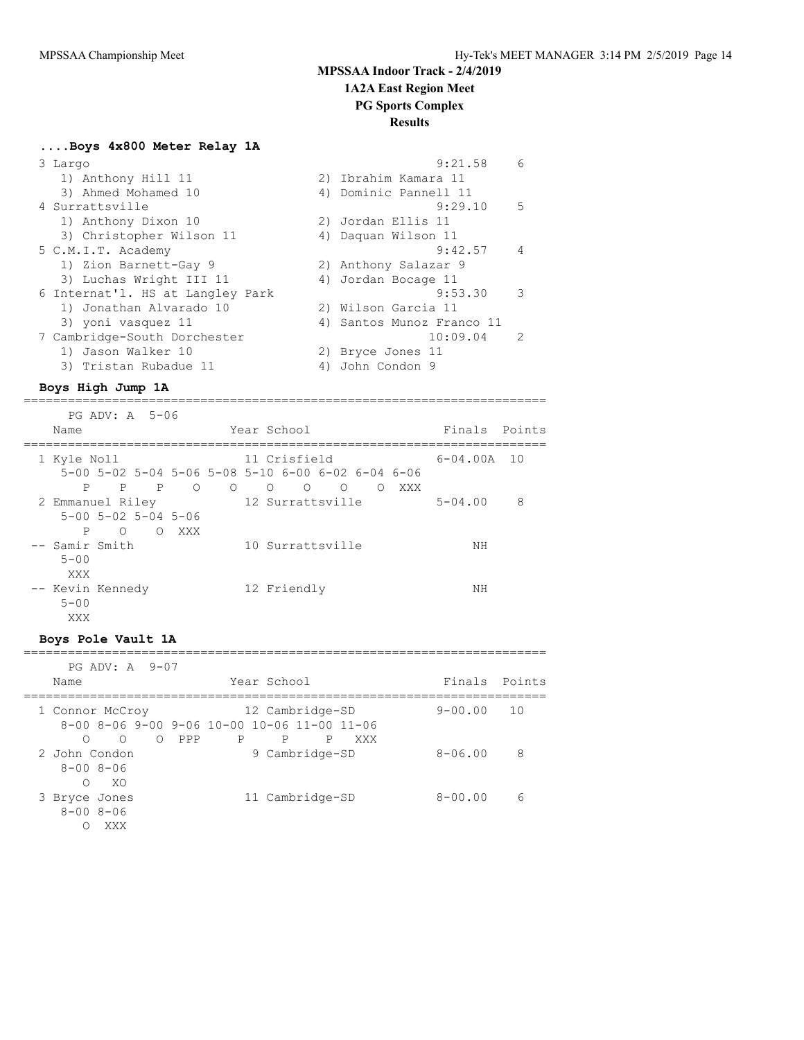# **....Boys 4x800 Meter Relay 1A**

| 3 Largo                          | 9:21.58                   | 6              |
|----------------------------------|---------------------------|----------------|
| 1) Anthony Hill 11               | 2) Ibrahim Kamara 11      |                |
| 3) Ahmed Mohamed 10              | 4) Dominic Pannell 11     |                |
| 4 Surrattsville                  | 9:29.10                   | .5             |
| 1) Anthony Dixon 10              | 2) Jordan Ellis 11        |                |
| 3) Christopher Wilson 11         | 4) Daquan Wilson 11       |                |
| 5 C.M.I.T. Academy               | 9:42.57                   | $\overline{4}$ |
| 1) Zion Barnett-Gay 9            | 2) Anthony Salazar 9      |                |
| 3) Luchas Wright III 11          | 4) Jordan Bocage 11       |                |
| 6 Internat'l. HS at Langley Park | 9:53.30                   | 3              |
| 1) Jonathan Alvarado 10          | 2) Wilson Garcia 11       |                |
| 3) yoni vasquez 11               | 4) Santos Munoz Franco 11 |                |
| 7 Cambridge-South Dorchester     | 10:09.04                  | $\mathcal{P}$  |
| 1) Jason Walker 10               | 2) Bryce Jones 11         |                |
| 3) Tristan Rubadue 11            | John Condon 9             |                |
|                                  |                           |                |

### **Boys High Jump 1A**

======================================================================= PG ADV: A 5-06

| Name                                | Year School                                                           | Finals Points    |
|-------------------------------------|-----------------------------------------------------------------------|------------------|
| 1 Kyle Noll                         | 11 Crisfield                                                          | $6 - 04.00A$ 10  |
|                                     | $5-00$ $5-02$ $5-04$ $5-06$ $5-08$ $5-10$ $6-00$ $6-02$ $6-04$ $6-06$ |                  |
| P<br>P<br>$\Omega$<br>P             | $\circ$<br>$\circ$<br>$\Omega$<br>$\Omega$<br>XXX<br>∩                |                  |
| 2 Emmanuel Riley                    | 12 Surrattsville                                                      | $5 - 04.00$<br>8 |
| $5 - 00$ $5 - 02$ $5 - 04$ $5 - 06$ |                                                                       |                  |
| P<br>∩<br>$\bigcirc$<br>XXX         |                                                                       |                  |
| -- Samir Smith                      | 10 Surrattsville                                                      | ΝH               |
| $5 - 00$                            |                                                                       |                  |
| XXX                                 |                                                                       |                  |
| -- Kevin Kennedy                    | 12 Friendly                                                           | ΝH               |
| $5 - 00$                            |                                                                       |                  |
| XXX                                 |                                                                       |                  |

### **Boys Pole Vault 1A**

======================================================================= PG ADV: A 9-07

| Name                                                                             | Year School                                                                    | Finals Points |    |
|----------------------------------------------------------------------------------|--------------------------------------------------------------------------------|---------------|----|
| 1 Connor McCroy                                                                  | 12 Cambridge-SD<br>$8-00$ $8-06$ $9-00$ $9-06$ $10-00$ $10-06$ $11-00$ $11-06$ | $9 - 00.00$   | 10 |
| $\bigcirc$<br>$\Omega$<br>PPP<br>∩<br>2 John Condon<br>$8 - 008 - 06$<br>XO<br>∩ | P<br>XXX<br>P<br>P<br>9 Cambridge-SD                                           | $8 - 06.00$   | 8  |
| 3 Bryce Jones<br>$8 - 008 - 06$<br>XXX                                           | 11 Cambridge-SD                                                                | $8 - 00.00$   | 6  |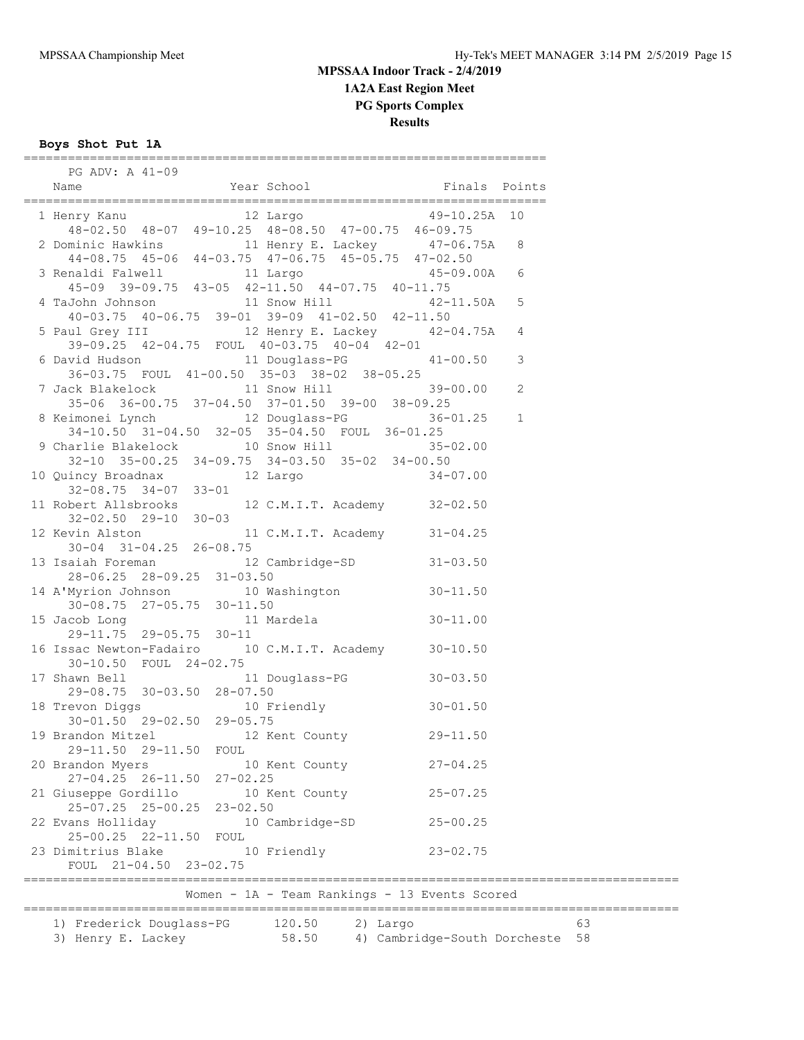**Boys Shot Put 1A**

|                                               | PG ADV: A 41-09                                                                                       |                              |    |  |  |  |
|-----------------------------------------------|-------------------------------------------------------------------------------------------------------|------------------------------|----|--|--|--|
|                                               | Year School Finals Points<br>Name                                                                     |                              |    |  |  |  |
|                                               |                                                                                                       |                              |    |  |  |  |
|                                               | 1 Henry Kanu 12 Largo 49-10.25A 10<br>48-02.50 48-07 49-10.25 48-08.50 47-00.75 46-09.75              |                              |    |  |  |  |
|                                               |                                                                                                       |                              |    |  |  |  |
|                                               | 2 Dominic Hawkins<br>44-08.75 45-06 44-03.75 47-06.75 45-05.75 47-02.50                               |                              |    |  |  |  |
|                                               |                                                                                                       |                              |    |  |  |  |
|                                               | 3 Renaldi Falwell 11 Largo                                                                            | 45-09.00A 6                  |    |  |  |  |
|                                               | 45-09 39-09.75 43-05 42-11.50 44-07.75 40-11.75                                                       |                              |    |  |  |  |
|                                               | 4 TaJohn Johnson 11 Snow Hill                                                                         | $42 - 11.50A$ 5              |    |  |  |  |
|                                               | 40-03.75 40-06.75 39-01 39-09 41-02.50 42-11.50                                                       |                              |    |  |  |  |
|                                               | 5 Paul Grey III 12 Henry E. Lackey 42-04.75A 4                                                        |                              |    |  |  |  |
|                                               | 39-09.25 42-04.75 FOUL 40-03.75 40-04 42-01                                                           |                              |    |  |  |  |
|                                               | 6 David Hudson 11 Douglass-PG 41-00.50 3                                                              |                              |    |  |  |  |
|                                               | 36-03.75 FOUL 41-00.50 35-03 38-02 38-05.25                                                           |                              |    |  |  |  |
|                                               | 7 Jack Blakelock 11 Snow Hill 39-00.00 2                                                              |                              |    |  |  |  |
|                                               | 35-06 36-00.75 37-04.50 37-01.50 39-00 38-09.25                                                       |                              |    |  |  |  |
|                                               | 8 Keimonei Lynch 12 Douglass-PG 36-01.25 1                                                            |                              |    |  |  |  |
|                                               | 34-10.50 31-04.50 32-05 35-04.50 FOUL 36-01.25                                                        |                              |    |  |  |  |
|                                               | 9 Charlie Blakelock 10 Snow Hill                                                                      | $35 - 02.00$                 |    |  |  |  |
|                                               | 32-10 35-00.25 34-09.75 34-03.50 35-02 34-00.50                                                       |                              |    |  |  |  |
|                                               |                                                                                                       |                              |    |  |  |  |
|                                               | 10 Quincy Broadnax<br>32-08.75 34-07 33-01<br>11 Robert Allsbrooks<br>12 C.M.I.T. Academy<br>32-02.50 |                              |    |  |  |  |
|                                               | $32 - 02.50$ $29 - 10$ $30 - 03$                                                                      |                              |    |  |  |  |
|                                               |                                                                                                       |                              |    |  |  |  |
|                                               | 12 Kevin Alston 11 C.M.I.T. Academy 31-04.25<br>$30-04$ $31-04.25$ $26-08.75$                         |                              |    |  |  |  |
|                                               |                                                                                                       |                              |    |  |  |  |
|                                               | 13 Isaiah Foreman 12 Cambridge-SD 31-03.50<br>28-06.25 28-09.25 31-03.50                              |                              |    |  |  |  |
|                                               |                                                                                                       |                              |    |  |  |  |
|                                               | 14 A'Myrion Johnson 10 Washington 30-11.50<br>30-08.75 27-05.75 30-11.50                              |                              |    |  |  |  |
|                                               | 15 Jacob Long 11 Mardela 30-11.00                                                                     |                              |    |  |  |  |
|                                               | 29-11.75 29-05.75 30-11                                                                               |                              |    |  |  |  |
|                                               | 16 Issac Newton-Fadairo 10 C.M.I.T. Academy 30-10.50                                                  |                              |    |  |  |  |
|                                               | 30-10.50 FOUL 24-02.75                                                                                |                              |    |  |  |  |
|                                               | 17 Shawn Bell                                                                                         | 11 Douglass-PG 30-03.50      |    |  |  |  |
|                                               | 29-08.75 30-03.50 28-07.50                                                                            |                              |    |  |  |  |
|                                               | 18 Trevon Diggs                                                                                       | 10 Friendly 30-01.50         |    |  |  |  |
|                                               | 30-01.50 29-02.50 29-05.75                                                                            |                              |    |  |  |  |
|                                               | 19 Brandon Mitzel 12 Kent County 29-11.50                                                             |                              |    |  |  |  |
|                                               | 29-11.50 29-11.50 FOUL                                                                                |                              |    |  |  |  |
|                                               | 20 Brandon Myers<br>10 Kent County                                                                    | $27 - 04.25$                 |    |  |  |  |
|                                               | $27-04.25$ $26-11.50$ $27-02.25$                                                                      |                              |    |  |  |  |
|                                               | 21 Giuseppe Gordillo<br>10 Kent County                                                                | $25 - 07.25$                 |    |  |  |  |
|                                               | 25-07.25 25-00.25 23-02.50                                                                            |                              |    |  |  |  |
|                                               | 22 Evans Holliday<br>10 Cambridge-SD                                                                  | $25 - 00.25$                 |    |  |  |  |
|                                               | 25-00.25 22-11.50 FOUL                                                                                |                              |    |  |  |  |
|                                               | 23 Dimitrius Blake<br>10 Friendly                                                                     | $23 - 02.75$                 |    |  |  |  |
|                                               | FOUL 21-04.50 23-02.75                                                                                |                              |    |  |  |  |
|                                               |                                                                                                       |                              |    |  |  |  |
| Women - 1A - Team Rankings - 13 Events Scored |                                                                                                       |                              |    |  |  |  |
|                                               |                                                                                                       |                              |    |  |  |  |
|                                               | 1) Frederick Douglass-PG<br>120.50                                                                    | 2) Largo                     | 63 |  |  |  |
|                                               | 58.50<br>3) Henry E. Lackey                                                                           | 4) Cambridge-South Dorcheste | 58 |  |  |  |

=======================================================================